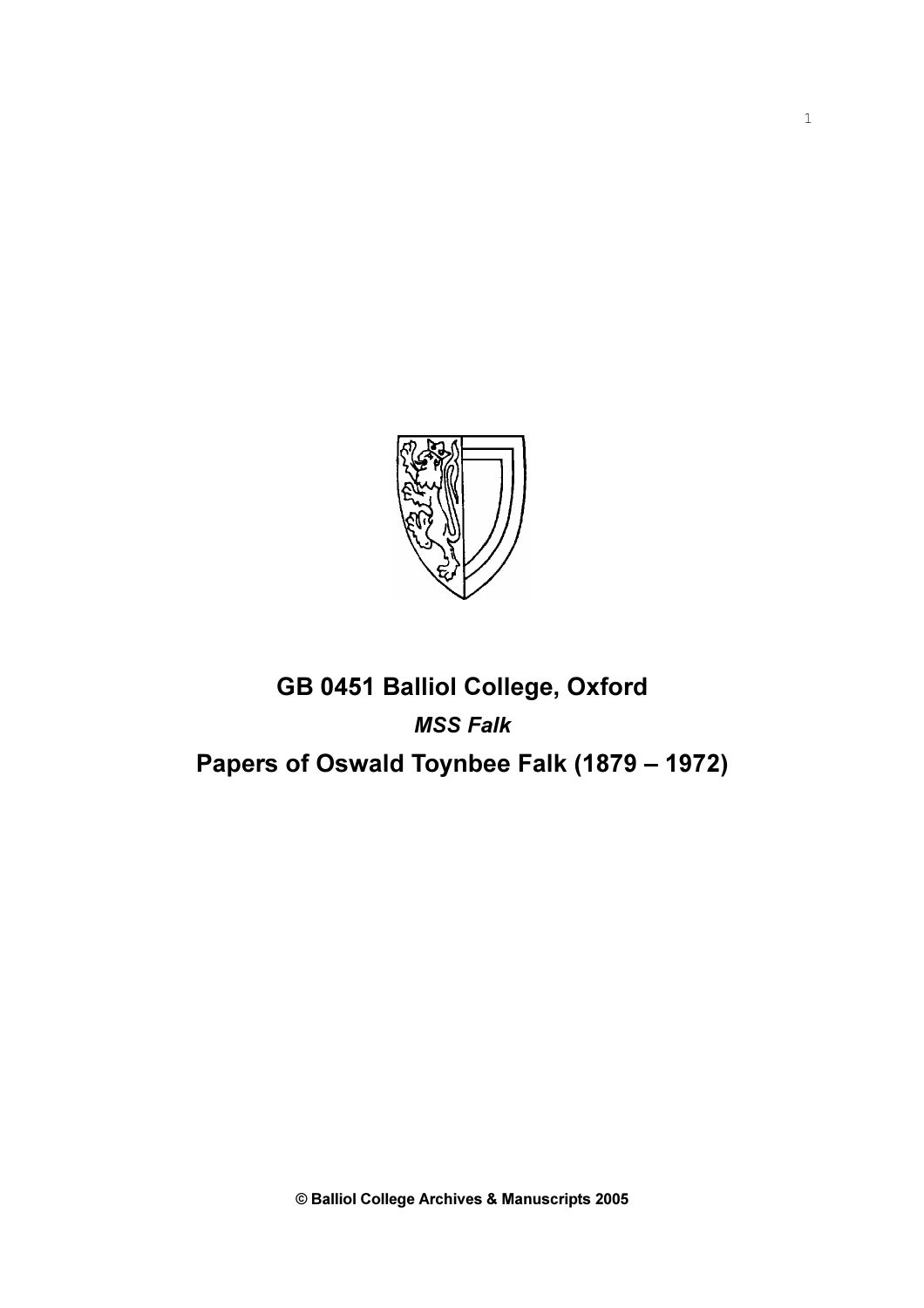

## GB 0451 Balliol College, Oxford MSS Falk Papers of Oswald Toynbee Falk (1879 – 1972)

© Balliol College Archives & Manuscripts 2005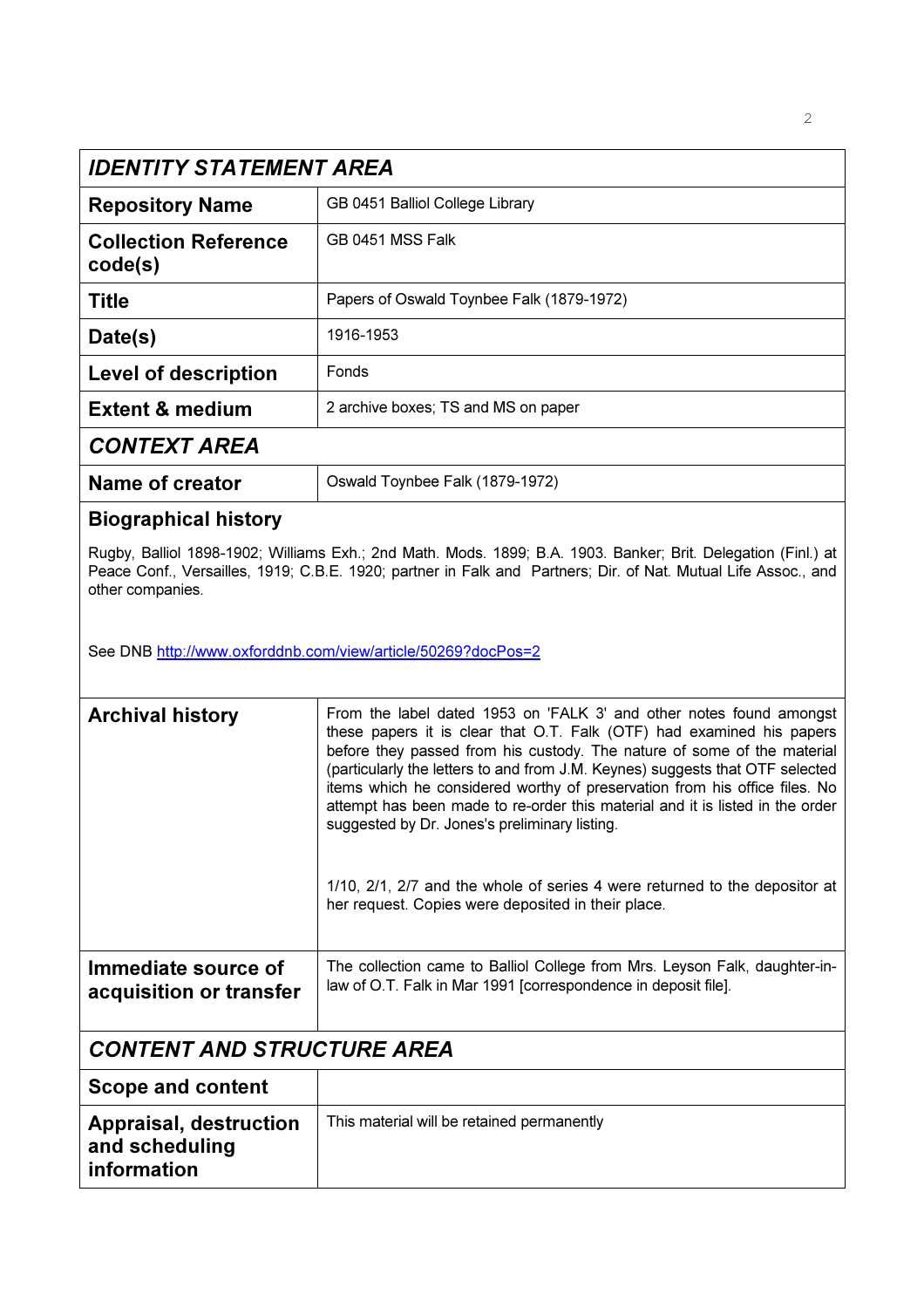|                                                                | IDENTITY STATEMENT AREA                                                                                                                                                                                                                                                                                                                                                                                                                                                                                                  |  |  |  |
|----------------------------------------------------------------|--------------------------------------------------------------------------------------------------------------------------------------------------------------------------------------------------------------------------------------------------------------------------------------------------------------------------------------------------------------------------------------------------------------------------------------------------------------------------------------------------------------------------|--|--|--|
| <b>Repository Name</b>                                         | GB 0451 Balliol College Library                                                                                                                                                                                                                                                                                                                                                                                                                                                                                          |  |  |  |
| <b>Collection Reference</b><br>code(s)                         | GB 0451 MSS Falk                                                                                                                                                                                                                                                                                                                                                                                                                                                                                                         |  |  |  |
| Title                                                          | Papers of Oswald Toynbee Falk (1879-1972)                                                                                                                                                                                                                                                                                                                                                                                                                                                                                |  |  |  |
| Date(s)                                                        | 1916-1953                                                                                                                                                                                                                                                                                                                                                                                                                                                                                                                |  |  |  |
| <b>Level of description</b>                                    | Fonds                                                                                                                                                                                                                                                                                                                                                                                                                                                                                                                    |  |  |  |
| <b>Extent &amp; medium</b>                                     | 2 archive boxes; TS and MS on paper                                                                                                                                                                                                                                                                                                                                                                                                                                                                                      |  |  |  |
| <b>CONTEXT AREA</b>                                            |                                                                                                                                                                                                                                                                                                                                                                                                                                                                                                                          |  |  |  |
| <b>Name of creator</b>                                         | Oswald Toynbee Falk (1879-1972)                                                                                                                                                                                                                                                                                                                                                                                                                                                                                          |  |  |  |
| <b>Biographical history</b>                                    |                                                                                                                                                                                                                                                                                                                                                                                                                                                                                                                          |  |  |  |
| other companies.                                               | Rugby, Balliol 1898-1902; Williams Exh.; 2nd Math. Mods. 1899; B.A. 1903. Banker; Brit. Delegation (Finl.) at<br>Peace Conf., Versailles, 1919; C.B.E. 1920; partner in Falk and Partners; Dir. of Nat. Mutual Life Assoc., and                                                                                                                                                                                                                                                                                          |  |  |  |
| See DNB http://www.oxforddnb.com/view/article/50269?docPos=2   |                                                                                                                                                                                                                                                                                                                                                                                                                                                                                                                          |  |  |  |
| <b>Archival history</b>                                        | From the label dated 1953 on 'FALK 3' and other notes found amongst<br>these papers it is clear that O.T. Falk (OTF) had examined his papers<br>before they passed from his custody. The nature of some of the material<br>(particularly the letters to and from J.M. Keynes) suggests that OTF selected<br>items which he considered worthy of preservation from his office files. No<br>attempt has been made to re-order this material and it is listed in the order<br>suggested by Dr. Jones's preliminary listing. |  |  |  |
|                                                                | 1/10, 2/1, 2/7 and the whole of series 4 were returned to the depositor at<br>her request. Copies were deposited in their place.                                                                                                                                                                                                                                                                                                                                                                                         |  |  |  |
| Immediate source of<br>acquisition or transfer                 | The collection came to Balliol College from Mrs. Leyson Falk, daughter-in-<br>law of O.T. Falk in Mar 1991 [correspondence in deposit file].                                                                                                                                                                                                                                                                                                                                                                             |  |  |  |
| <b>CONTENT AND STRUCTURE AREA</b>                              |                                                                                                                                                                                                                                                                                                                                                                                                                                                                                                                          |  |  |  |
| <b>Scope and content</b>                                       |                                                                                                                                                                                                                                                                                                                                                                                                                                                                                                                          |  |  |  |
| <b>Appraisal, destruction</b><br>and scheduling<br>information | This material will be retained permanently                                                                                                                                                                                                                                                                                                                                                                                                                                                                               |  |  |  |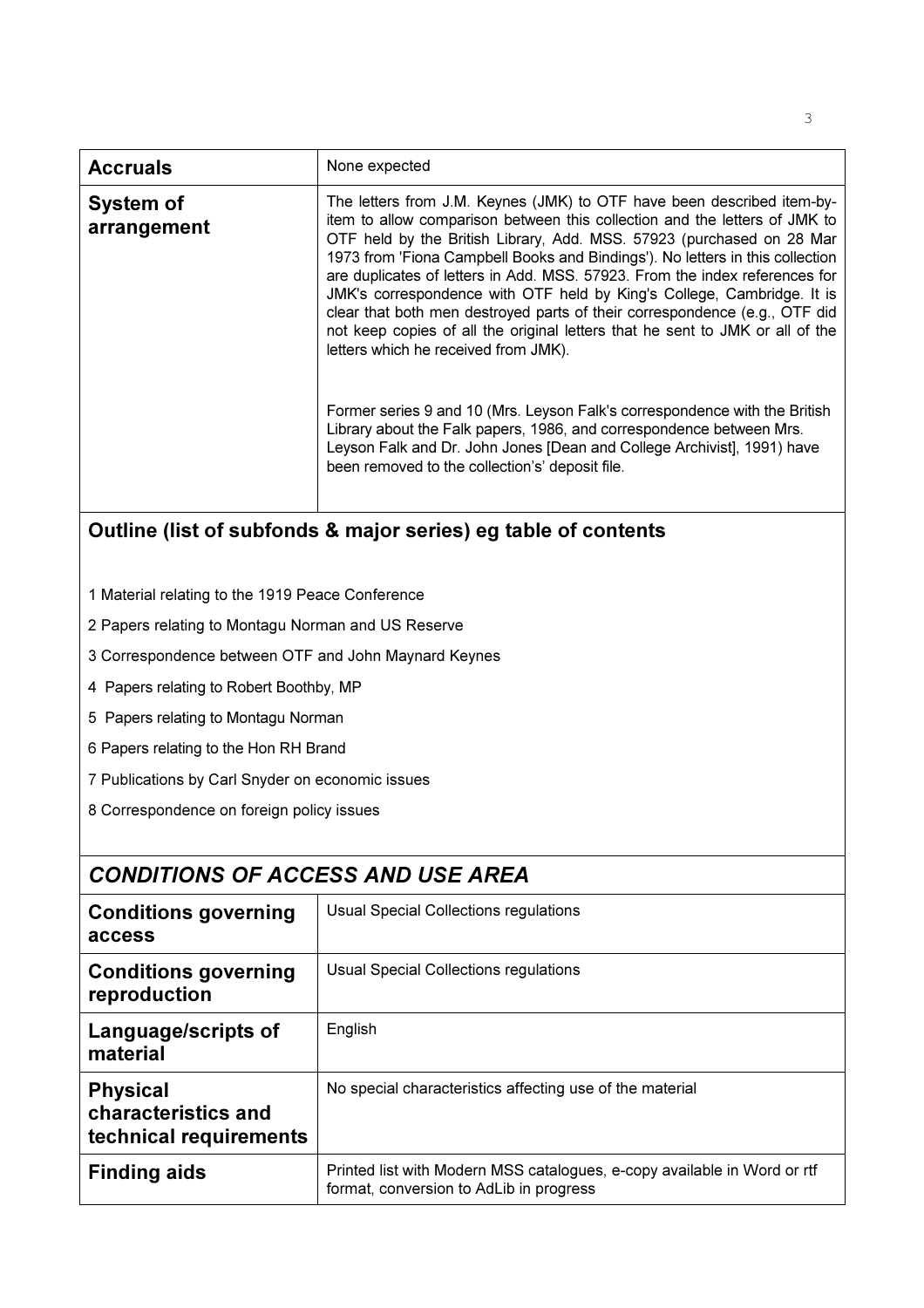| None expected<br><b>Accruals</b><br>The letters from J.M. Keynes (JMK) to OTF have been described item-by-<br>System of<br>item to allow comparison between this collection and the letters of JMK to<br>arrangement<br>OTF held by the British Library, Add. MSS. 57923 (purchased on 28 Mar<br>1973 from 'Fiona Campbell Books and Bindings'). No letters in this collection<br>are duplicates of letters in Add. MSS. 57923. From the index references for<br>JMK's correspondence with OTF held by King's College, Cambridge. It is<br>clear that both men destroyed parts of their correspondence (e.g., OTF did<br>not keep copies of all the original letters that he sent to JMK or all of the<br>letters which he received from JMK).<br>Former series 9 and 10 (Mrs. Leyson Falk's correspondence with the British<br>Library about the Falk papers, 1986, and correspondence between Mrs.<br>Leyson Falk and Dr. John Jones [Dean and College Archivist], 1991) have<br>been removed to the collection's' deposit file. |  |
|------------------------------------------------------------------------------------------------------------------------------------------------------------------------------------------------------------------------------------------------------------------------------------------------------------------------------------------------------------------------------------------------------------------------------------------------------------------------------------------------------------------------------------------------------------------------------------------------------------------------------------------------------------------------------------------------------------------------------------------------------------------------------------------------------------------------------------------------------------------------------------------------------------------------------------------------------------------------------------------------------------------------------------|--|
|                                                                                                                                                                                                                                                                                                                                                                                                                                                                                                                                                                                                                                                                                                                                                                                                                                                                                                                                                                                                                                    |  |
|                                                                                                                                                                                                                                                                                                                                                                                                                                                                                                                                                                                                                                                                                                                                                                                                                                                                                                                                                                                                                                    |  |

## Outline (list of subfonds & major series) eg table of contents

- 1 Material relating to the 1919 Peace Conference
- 2 Papers relating to Montagu Norman and US Reserve
- 3 Correspondence between OTF and John Maynard Keynes
- 4 Papers relating to Robert Boothby, MP
- 5 Papers relating to Montagu Norman
- 6 Papers relating to the Hon RH Brand
- 7 Publications by Carl Snyder on economic issues
- 8 Correspondence on foreign policy issues

|                                                                  | <b>CONDITIONS OF ACCESS AND USE AREA</b>                                                                            |  |  |  |
|------------------------------------------------------------------|---------------------------------------------------------------------------------------------------------------------|--|--|--|
| <b>Conditions governing</b><br>access                            | Usual Special Collections regulations                                                                               |  |  |  |
| <b>Conditions governing</b><br>reproduction                      | Usual Special Collections regulations                                                                               |  |  |  |
| Language/scripts of<br>material                                  | English                                                                                                             |  |  |  |
| <b>Physical</b><br>characteristics and<br>technical requirements | No special characteristics affecting use of the material                                                            |  |  |  |
| <b>Finding aids</b>                                              | Printed list with Modern MSS catalogues, e-copy available in Word or rtf<br>format, conversion to AdLib in progress |  |  |  |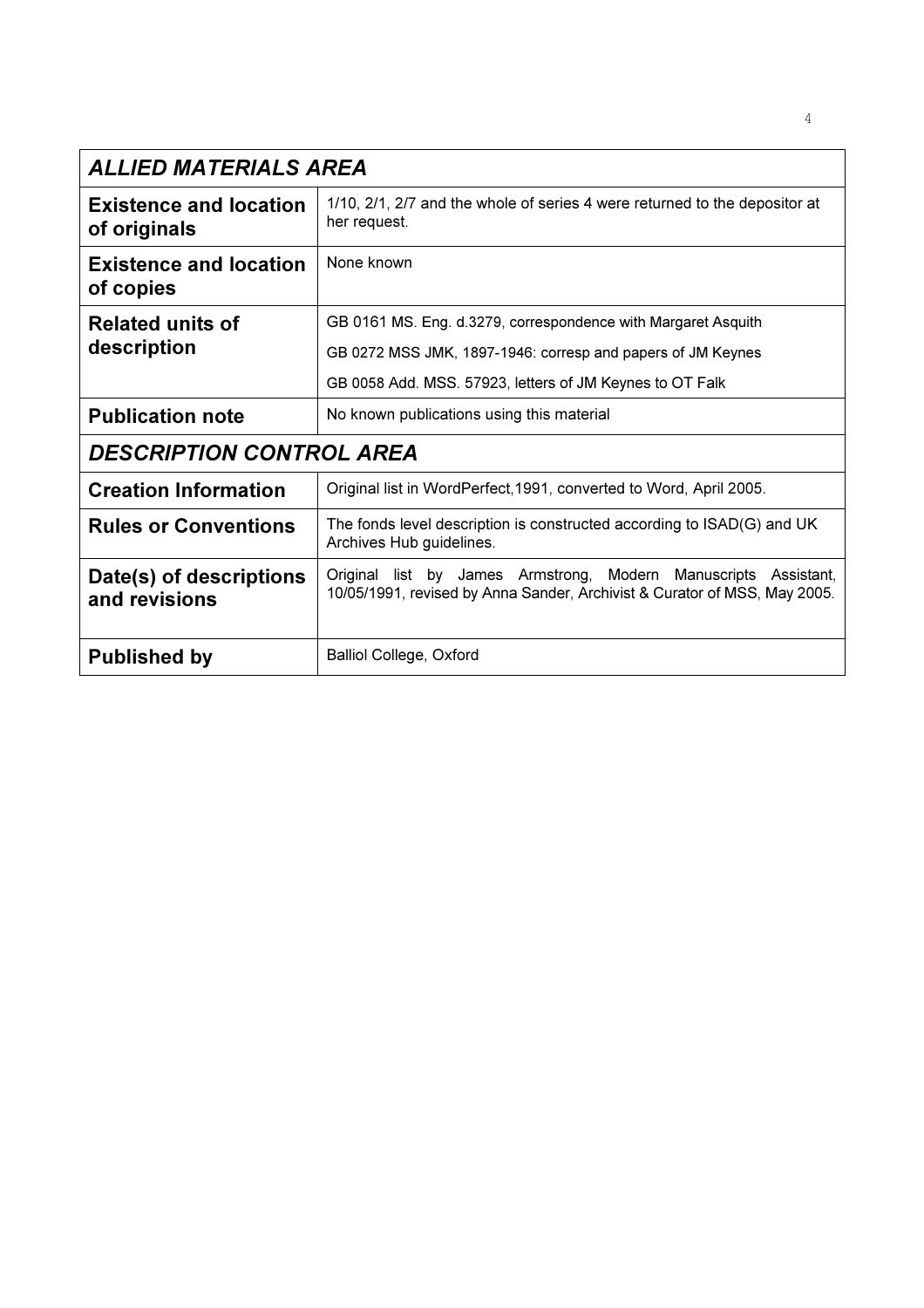| ALLIED MATERIALS AREA                         |                                                                                                                                              |
|-----------------------------------------------|----------------------------------------------------------------------------------------------------------------------------------------------|
| <b>Existence and location</b><br>of originals | 1/10, 2/1, 2/7 and the whole of series 4 were returned to the depositor at<br>her request.                                                   |
| <b>Existence and location</b><br>of copies    | None known                                                                                                                                   |
| <b>Related units of</b>                       | GB 0161 MS. Eng. d.3279, correspondence with Margaret Asquith                                                                                |
| description                                   | GB 0272 MSS JMK, 1897-1946: corresp and papers of JM Keynes                                                                                  |
|                                               | GB 0058 Add. MSS. 57923, letters of JM Keynes to OT Falk                                                                                     |
| <b>Publication note</b>                       | No known publications using this material                                                                                                    |
| <b>DESCRIPTION CONTROL AREA</b>               |                                                                                                                                              |
| <b>Creation Information</b>                   | Original list in WordPerfect, 1991, converted to Word, April 2005.                                                                           |
| <b>Rules or Conventions</b>                   | The fonds level description is constructed according to ISAD(G) and UK<br>Archives Hub guidelines.                                           |
| Date(s) of descriptions<br>and revisions      | Original list by James Armstrong, Modern Manuscripts Assistant,<br>10/05/1991, revised by Anna Sander, Archivist & Curator of MSS, May 2005. |
| <b>Published by</b>                           | <b>Balliol College, Oxford</b>                                                                                                               |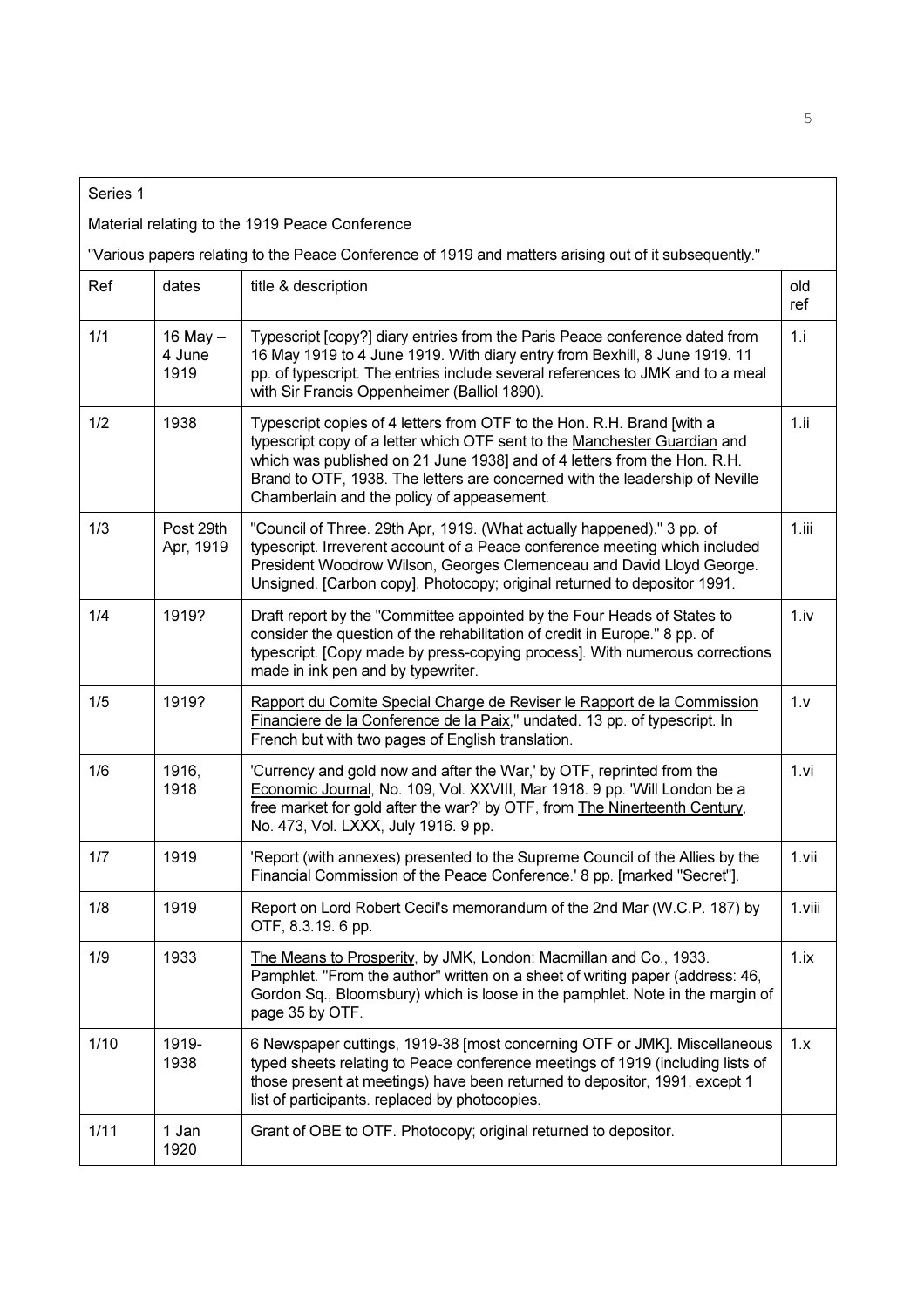| Series 1 |                            |                                                                                                                                                                                                                                                                                                                                                               |            |
|----------|----------------------------|---------------------------------------------------------------------------------------------------------------------------------------------------------------------------------------------------------------------------------------------------------------------------------------------------------------------------------------------------------------|------------|
|          |                            | Material relating to the 1919 Peace Conference                                                                                                                                                                                                                                                                                                                |            |
|          |                            | "Various papers relating to the Peace Conference of 1919 and matters arising out of it subsequently."                                                                                                                                                                                                                                                         |            |
| Ref      | dates                      | title & description                                                                                                                                                                                                                                                                                                                                           | old<br>ref |
| 1/1      | 16 May -<br>4 June<br>1919 | Typescript [copy?] diary entries from the Paris Peace conference dated from<br>16 May 1919 to 4 June 1919. With diary entry from Bexhill, 8 June 1919. 11<br>pp. of typescript. The entries include several references to JMK and to a meal<br>with Sir Francis Oppenheimer (Balliol 1890).                                                                   | 1.i        |
| 1/2      | 1938                       | Typescript copies of 4 letters from OTF to the Hon. R.H. Brand [with a<br>typescript copy of a letter which OTF sent to the Manchester Guardian and<br>which was published on 21 June 1938] and of 4 letters from the Hon. R.H.<br>Brand to OTF, 1938. The letters are concerned with the leadership of Neville<br>Chamberlain and the policy of appeasement. | 1.ii       |
| 1/3      | Post 29th<br>Apr, 1919     | "Council of Three. 29th Apr, 1919. (What actually happened)." 3 pp. of<br>typescript. Irreverent account of a Peace conference meeting which included<br>President Woodrow Wilson, Georges Clemenceau and David Lloyd George.<br>Unsigned. [Carbon copy]. Photocopy; original returned to depositor 1991.                                                     | 1.iii      |
| 1/4      | 1919?                      | Draft report by the "Committee appointed by the Four Heads of States to<br>consider the question of the rehabilitation of credit in Europe." 8 pp. of<br>typescript. [Copy made by press-copying process]. With numerous corrections<br>made in ink pen and by typewriter.                                                                                    | 1.iv       |
| 1/5      | 1919?                      | Rapport du Comite Special Charge de Reviser le Rapport de la Commission<br>Financiere de la Conference de la Paix," undated. 13 pp. of typescript. In<br>French but with two pages of English translation.                                                                                                                                                    | 1.v        |
| 1/6      | 1916,<br>1918              | 'Currency and gold now and after the War,' by OTF, reprinted from the<br>Economic Journal, No. 109, Vol. XXVIII, Mar 1918. 9 pp. 'Will London be a<br>free market for gold after the war?' by OTF, from The Ninerteenth Century,<br>No. 473, Vol. LXXX, July 1916. 9 pp.                                                                                      | 1.vi       |
| 1/7      | 1919                       | 'Report (with annexes) presented to the Supreme Council of the Allies by the<br>Financial Commission of the Peace Conference.' 8 pp. [marked "Secret"].                                                                                                                                                                                                       | 1.vii      |
| 1/8      | 1919                       | Report on Lord Robert Cecil's memorandum of the 2nd Mar (W.C.P. 187) by<br>OTF, 8.3.19. 6 pp.                                                                                                                                                                                                                                                                 | 1.viii     |
| 1/9      | 1933                       | The Means to Prosperity, by JMK, London: Macmillan and Co., 1933.<br>Pamphlet. "From the author" written on a sheet of writing paper (address: 46,<br>Gordon Sq., Bloomsbury) which is loose in the pamphlet. Note in the margin of<br>page 35 by OTF.                                                                                                        | 1.ix       |
| 1/10     | 1919-<br>1938              | 6 Newspaper cuttings, 1919-38 [most concerning OTF or JMK]. Miscellaneous<br>typed sheets relating to Peace conference meetings of 1919 (including lists of<br>those present at meetings) have been returned to depositor, 1991, except 1<br>list of participants. replaced by photocopies.                                                                   | 1.x        |
| 1/11     | 1 Jan<br>1920              | Grant of OBE to OTF. Photocopy; original returned to depositor.                                                                                                                                                                                                                                                                                               |            |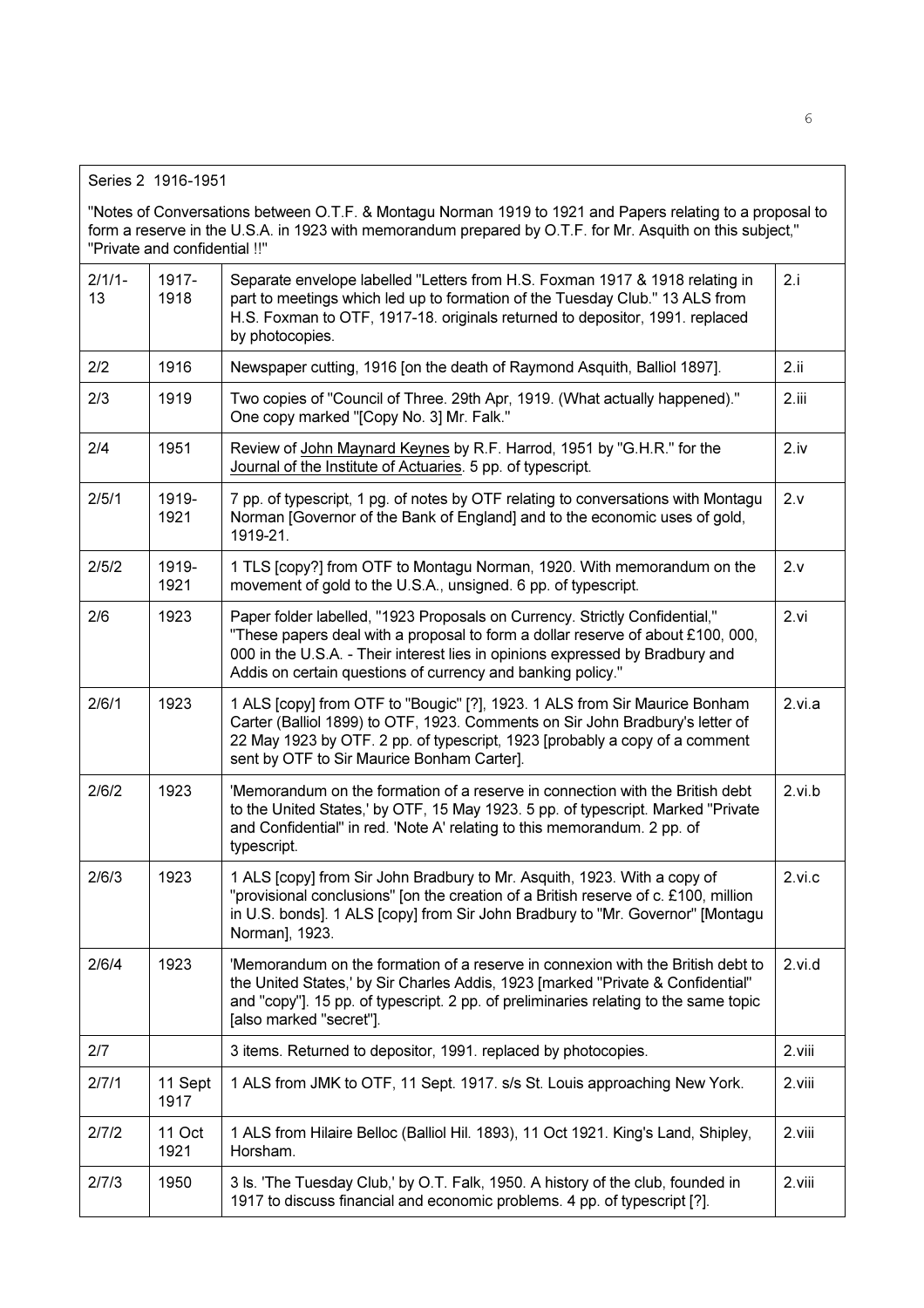"Notes of Conversations between O.T.F. & Montagu Norman 1919 to 1921 and Papers relating to a proposal to form a reserve in the U.S.A. in 1923 with memorandum prepared by O.T.F. for Mr. Asquith on this subject," "Private and confidential !!"

| $2/1/1-$<br>13 | 1917-<br>1918   | Separate envelope labelled "Letters from H.S. Foxman 1917 & 1918 relating in<br>part to meetings which led up to formation of the Tuesday Club." 13 ALS from<br>H.S. Foxman to OTF, 1917-18. originals returned to depositor, 1991. replaced<br>by photocopies.                                                | 2.i    |
|----------------|-----------------|----------------------------------------------------------------------------------------------------------------------------------------------------------------------------------------------------------------------------------------------------------------------------------------------------------------|--------|
| 2/2            | 1916            | Newspaper cutting, 1916 [on the death of Raymond Asquith, Balliol 1897].                                                                                                                                                                                                                                       | 2.ii   |
| 2/3            | 1919            | Two copies of "Council of Three. 29th Apr, 1919. (What actually happened)."<br>One copy marked "[Copy No. 3] Mr. Falk."                                                                                                                                                                                        | 2.iii  |
| 2/4            | 1951            | Review of John Maynard Keynes by R.F. Harrod, 1951 by "G.H.R." for the<br>Journal of the Institute of Actuaries. 5 pp. of typescript.                                                                                                                                                                          | 2.iv   |
| 2/5/1          | 1919-<br>1921   | 7 pp. of typescript, 1 pg. of notes by OTF relating to conversations with Montagu<br>Norman [Governor of the Bank of England] and to the economic uses of gold,<br>1919-21.                                                                                                                                    | 2.v    |
| 2/5/2          | 1919-<br>1921   | 1 TLS [copy?] from OTF to Montagu Norman, 1920. With memorandum on the<br>movement of gold to the U.S.A., unsigned. 6 pp. of typescript.                                                                                                                                                                       | 2.v    |
| 2/6            | 1923            | Paper folder labelled, "1923 Proposals on Currency. Strictly Confidential,"<br>"These papers deal with a proposal to form a dollar reserve of about £100, 000,<br>000 in the U.S.A. - Their interest lies in opinions expressed by Bradbury and<br>Addis on certain questions of currency and banking policy." | 2.vi   |
| 2/6/1          | 1923            | 1 ALS [copy] from OTF to "Bougic" [?], 1923. 1 ALS from Sir Maurice Bonham<br>Carter (Balliol 1899) to OTF, 1923. Comments on Sir John Bradbury's letter of<br>22 May 1923 by OTF. 2 pp. of typescript, 1923 [probably a copy of a comment<br>sent by OTF to Sir Maurice Bonham Carter].                       | 2.vi.a |
| 2/6/2          | 1923            | 'Memorandum on the formation of a reserve in connection with the British debt<br>to the United States,' by OTF, 15 May 1923. 5 pp. of typescript. Marked "Private<br>and Confidential" in red. 'Note A' relating to this memorandum. 2 pp. of<br>typescript.                                                   | 2.vi.b |
| 2/6/3          | 1923            | 1 ALS [copy] from Sir John Bradbury to Mr. Asquith, 1923. With a copy of<br>"provisional conclusions" [on the creation of a British reserve of c. £100, million<br>in U.S. bonds]. 1 ALS [copy] from Sir John Bradbury to "Mr. Governor" [Montagu<br>Norman], 1923.                                            | 2.vi.c |
| 2/6/4          | 1923            | 'Memorandum on the formation of a reserve in connexion with the British debt to<br>the United States,' by Sir Charles Addis, 1923 [marked "Private & Confidential"<br>and "copy"]. 15 pp. of typescript. 2 pp. of preliminaries relating to the same topic<br>[also marked "secret"].                          | 2.vi.d |
| 2/7            |                 | 3 items. Returned to depositor, 1991. replaced by photocopies.                                                                                                                                                                                                                                                 | 2.viii |
| 2/7/1          | 11 Sept<br>1917 | 1 ALS from JMK to OTF, 11 Sept. 1917. s/s St. Louis approaching New York.                                                                                                                                                                                                                                      | 2.viii |
| 2/7/2          | 11 Oct<br>1921  | 1 ALS from Hilaire Belloc (Balliol Hil. 1893), 11 Oct 1921. King's Land, Shipley,<br>Horsham.                                                                                                                                                                                                                  | 2.viii |
| 2/7/3          | 1950            | 3 ls. 'The Tuesday Club,' by O.T. Falk, 1950. A history of the club, founded in<br>1917 to discuss financial and economic problems. 4 pp. of typescript [?].                                                                                                                                                   | 2.viii |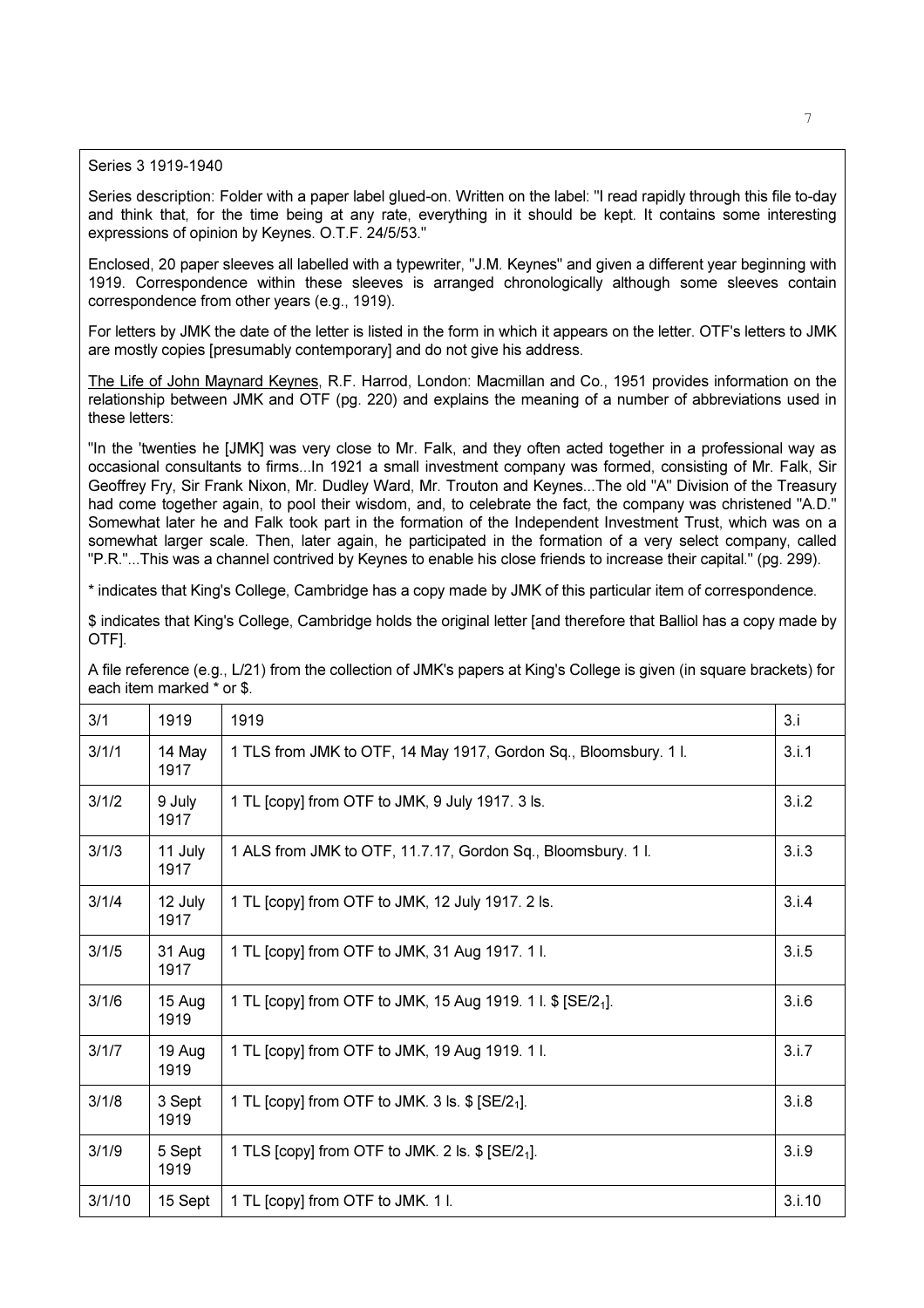Series 3 1919-1940

Series description: Folder with a paper label glued-on. Written on the label: "I read rapidly through this file to-day and think that, for the time being at any rate, everything in it should be kept. It contains some interesting expressions of opinion by Keynes. O.T.F. 24/5/53."

Enclosed, 20 paper sleeves all labelled with a typewriter, "J.M. Keynes" and given a different year beginning with 1919. Correspondence within these sleeves is arranged chronologically although some sleeves contain correspondence from other years (e.g., 1919).

For letters by JMK the date of the letter is listed in the form in which it appears on the letter. OTF's letters to JMK are mostly copies [presumably contemporary] and do not give his address.

The Life of John Maynard Keynes, R.F. Harrod, London: Macmillan and Co., 1951 provides information on the relationship between JMK and OTF (pg. 220) and explains the meaning of a number of abbreviations used in these letters:

"In the 'twenties he [JMK] was very close to Mr. Falk, and they often acted together in a professional way as occasional consultants to firms...In 1921 a small investment company was formed, consisting of Mr. Falk, Sir Geoffrey Fry, Sir Frank Nixon, Mr. Dudley Ward, Mr. Trouton and Keynes...The old "A" Division of the Treasury had come together again, to pool their wisdom, and, to celebrate the fact, the company was christened "A.D." Somewhat later he and Falk took part in the formation of the Independent Investment Trust, which was on a somewhat larger scale. Then, later again, he participated in the formation of a very select company, called "P.R."...This was a channel contrived by Keynes to enable his close friends to increase their capital." (pg. 299).

\* indicates that King's College, Cambridge has a copy made by JMK of this particular item of correspondence.

\$ indicates that King's College, Cambridge holds the original letter [and therefore that Balliol has a copy made by OTF].

A file reference (e.g., L/21) from the collection of JMK's papers at King's College is given (in square brackets) for each item marked \* or \$.

| 3/1    | 1919            | 1919                                                                    | 3.i    |
|--------|-----------------|-------------------------------------------------------------------------|--------|
| 3/1/1  | 14 May<br>1917  | 1 TLS from JMK to OTF, 14 May 1917, Gordon Sq., Bloomsbury. 11.         | 3.i.1  |
| 3/1/2  | 9 July<br>1917  | 1 TL [copy] from OTF to JMK, 9 July 1917. 3 ls.                         | 3.i.2  |
| 3/1/3  | 11 July<br>1917 | 1 ALS from JMK to OTF, 11.7.17, Gordon Sq., Bloomsbury. 11.             | 3.i.3  |
| 3/1/4  | 12 July<br>1917 | 1 TL [copy] from OTF to JMK, 12 July 1917. 2 ls.                        | 3.i.4  |
| 3/1/5  | 31 Aug<br>1917  | 1 TL [copy] from OTF to JMK, 31 Aug 1917. 11.                           | 3.i.5  |
| 3/1/6  | 15 Aug<br>1919  | 1 TL [copy] from OTF to JMK, 15 Aug 1919. 1 l. \$ [SE/2 <sub>1</sub> ]. | 3.i.6  |
| 3/1/7  | 19 Aug<br>1919  | 1 TL [copy] from OTF to JMK, 19 Aug 1919. 11.                           | 3.1.7  |
| 3/1/8  | 3 Sept<br>1919  | 1 TL [copy] from OTF to JMK. 3 ls. $$$ [SE/2 <sub>1</sub> ].            | 3.i.8  |
| 3/1/9  | 5 Sept<br>1919  | 1 TLS [copy] from OTF to JMK. 2 ls. $$$ [SE/2 <sub>1</sub> ].           | 3.i.9  |
| 3/1/10 | 15 Sept         | 1 TL [copy] from OTF to JMK. 1 I.                                       | 3.i.10 |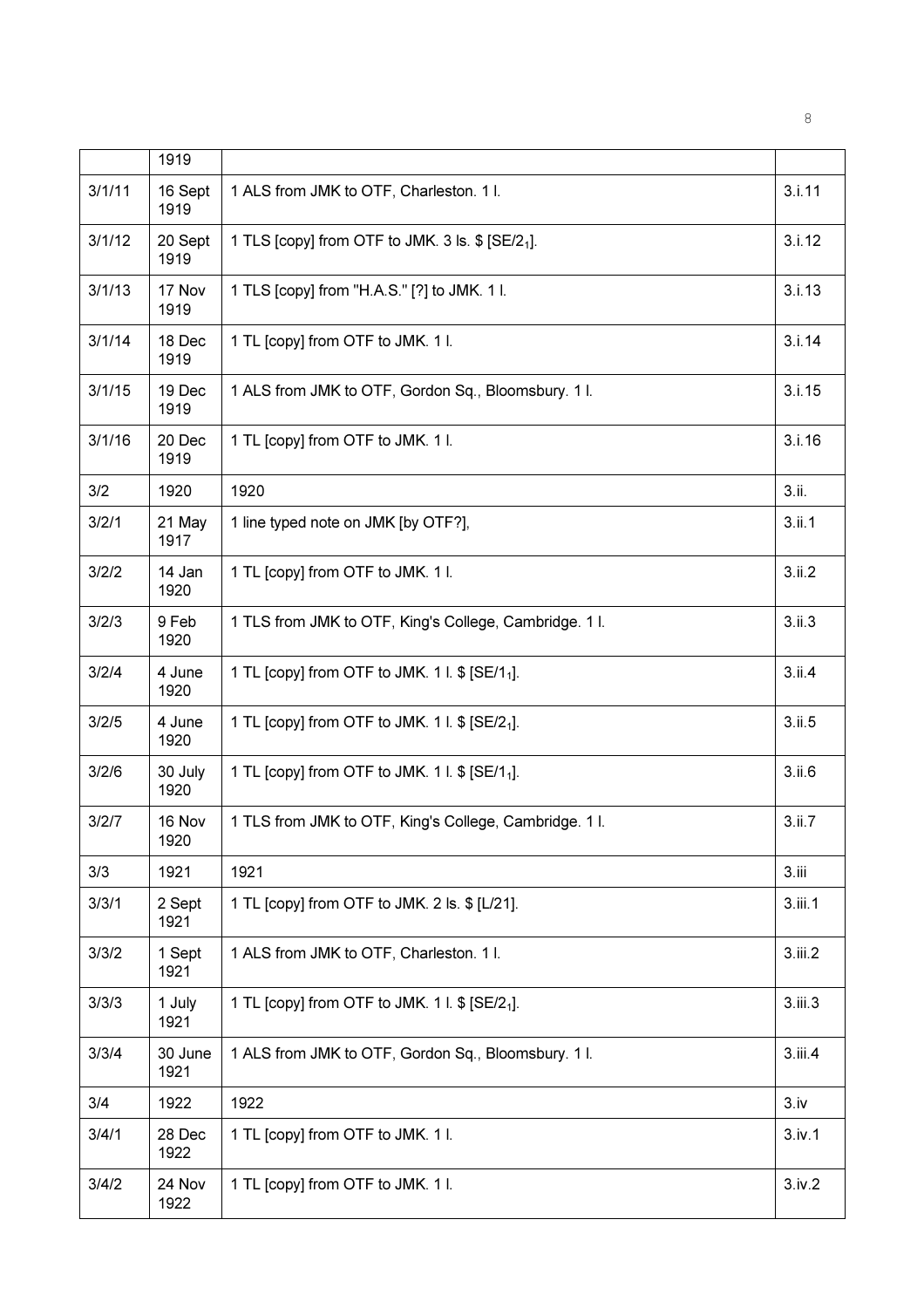|        | 1919            |                                                              |                  |
|--------|-----------------|--------------------------------------------------------------|------------------|
| 3/1/11 | 16 Sept<br>1919 | 1 ALS from JMK to OTF, Charleston. 1 l.                      | 3.i.11           |
| 3/1/12 | 20 Sept<br>1919 | 1 TLS [copy] from OTF to JMK. 3 ls. \$ [SE/2 <sub>1</sub> ]. | 3.i.12           |
| 3/1/13 | 17 Nov<br>1919  | 1 TLS [copy] from "H.A.S." [?] to JMK. 1 I.                  | 3.i.13           |
| 3/1/14 | 18 Dec<br>1919  | 1 TL [copy] from OTF to JMK. 1 I.                            | 3.i.14           |
| 3/1/15 | 19 Dec<br>1919  | 1 ALS from JMK to OTF, Gordon Sq., Bloomsbury. 11.           | 3.i.15           |
| 3/1/16 | 20 Dec<br>1919  | 1 TL [copy] from OTF to JMK. 1 I.                            | 3.i.16           |
| 3/2    | 1920            | 1920                                                         | 3.ii.            |
| 3/2/1  | 21 May<br>1917  | 1 line typed note on JMK [by OTF?],                          | 3.ii.1           |
| 3/2/2  | 14 Jan<br>1920  | 1 TL [copy] from OTF to JMK. 1 I.                            | 3.ii.2           |
| 3/2/3  | 9 Feb<br>1920   | 1 TLS from JMK to OTF, King's College, Cambridge. 11.        | 3.ii.3           |
| 3/2/4  | 4 June<br>1920  | 1 TL [copy] from OTF to JMK. 1 l. \$ [SE/1 <sub>1</sub> ].   | 3.ii.4           |
| 3/2/5  | 4 June<br>1920  | 1 TL [copy] from OTF to JMK. 1 l. \$ [SE/2 <sub>1</sub> ].   | 3.ii.5           |
| 3/2/6  | 30 July<br>1920 | 1 TL [copy] from OTF to JMK. 1 l. \$ [SE/1 <sub>1</sub> ].   | 3.ii.6           |
| 3/2/7  | 16 Nov<br>1920  | 1 TLS from JMK to OTF, King's College, Cambridge. 11.        | 3.ii.7           |
| 3/3    | 1921            | 1921                                                         | 3.iii            |
| 3/3/1  | 2 Sept<br>1921  | 1 TL [copy] from OTF to JMK. 2 ls. \$ [L/21].                | 3.iii.1          |
| 3/3/2  | 1 Sept<br>1921  | 1 ALS from JMK to OTF, Charleston. 1 I.                      | 3.iii.2          |
| 3/3/3  | 1 July<br>1921  | 1 TL [copy] from OTF to JMK. 1 l. \$ [SE/2 <sub>1</sub> ].   | 3.iii.3          |
| 3/3/4  | 30 June<br>1921 | 1 ALS from JMK to OTF, Gordon Sq., Bloomsbury. 1 l.          | 3.iii.4          |
| 3/4    | 1922            | 1922                                                         | 3.1 <sub>V</sub> |
| 3/4/1  | 28 Dec<br>1922  | 1 TL [copy] from OTF to JMK. 1 I.                            | 3.iv.1           |
| 3/4/2  | 24 Nov<br>1922  | 1 TL [copy] from OTF to JMK. 1 I.                            | 3.iv.2           |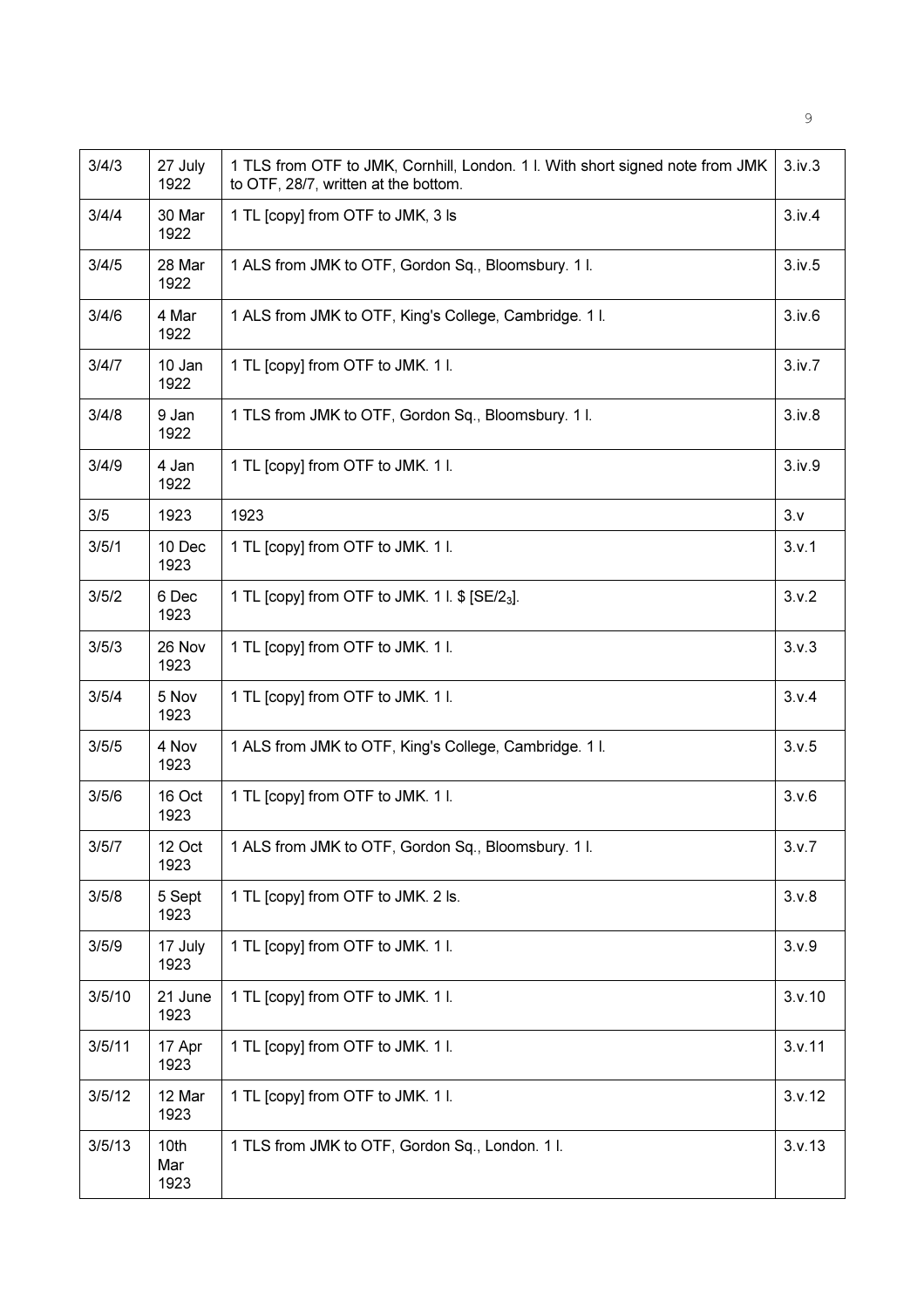| 3/4/3  | 27 July<br>1922     | 1 TLS from OTF to JMK, Cornhill, London. 1 I. With short signed note from JMK<br>to OTF, 28/7, written at the bottom. | 3.iv.3 |
|--------|---------------------|-----------------------------------------------------------------------------------------------------------------------|--------|
| 3/4/4  | 30 Mar<br>1922      | 1 TL [copy] from OTF to JMK, 3 ls                                                                                     | 3.iv.4 |
| 3/4/5  | 28 Mar<br>1922      | 1 ALS from JMK to OTF, Gordon Sq., Bloomsbury. 11.                                                                    | 3.iv.5 |
| 3/4/6  | 4 Mar<br>1922       | 1 ALS from JMK to OTF, King's College, Cambridge. 1 I.                                                                | 3.iv.6 |
| 3/4/7  | 10 Jan<br>1922      | 1 TL [copy] from OTF to JMK. 1 I.                                                                                     | 3.iv.7 |
| 3/4/8  | 9 Jan<br>1922       | 1 TLS from JMK to OTF, Gordon Sq., Bloomsbury. 11.                                                                    | 3.iv.8 |
| 3/4/9  | 4 Jan<br>1922       | 1 TL [copy] from OTF to JMK. 1 I.                                                                                     | 3.iv.9 |
| 3/5    | 1923                | 1923                                                                                                                  | 3.5    |
| 3/5/1  | 10 Dec<br>1923      | 1 TL [copy] from OTF to JMK. 1 I.                                                                                     | 3.v.1  |
| 3/5/2  | 6 Dec<br>1923       | 1 TL [copy] from OTF to JMK. 1 l. \$ [SE/2 <sub>3</sub> ].                                                            | 3.v.2  |
| 3/5/3  | 26 Nov<br>1923      | 1 TL [copy] from OTF to JMK. 1 I.                                                                                     | 3.v.3  |
| 3/5/4  | 5 Nov<br>1923       | 1 TL [copy] from OTF to JMK. 1 I.                                                                                     | 3.v.4  |
| 3/5/5  | 4 Nov<br>1923       | 1 ALS from JMK to OTF, King's College, Cambridge. 1 I.                                                                | 3.v.5  |
| 3/5/6  | 16 Oct<br>1923      | 1 TL [copy] from OTF to JMK. 1 I.                                                                                     | 3.v.6  |
| 3/5/7  | 12 Oct<br>1923      | 1 ALS from JMK to OTF, Gordon Sq., Bloomsbury. 11.                                                                    | 3.v.7  |
| 3/5/8  | 5 Sept<br>1923      | 1 TL [copy] from OTF to JMK. 2 ls.                                                                                    | 3.v.8  |
| 3/5/9  | 17 July<br>1923     | 1 TL [copy] from OTF to JMK. 1 I.                                                                                     | 3.v.9  |
| 3/5/10 | 21 June<br>1923     | 1 TL [copy] from OTF to JMK. 1 I.                                                                                     | 3.v.10 |
| 3/5/11 | 17 Apr<br>1923      | 1 TL [copy] from OTF to JMK. 1 I.                                                                                     | 3.v.11 |
| 3/5/12 | 12 Mar<br>1923      | 1 TL [copy] from OTF to JMK. 1 I.                                                                                     | 3.v.12 |
| 3/5/13 | 10th<br>Mar<br>1923 | 1 TLS from JMK to OTF, Gordon Sq., London. 1 I.                                                                       | 3.v.13 |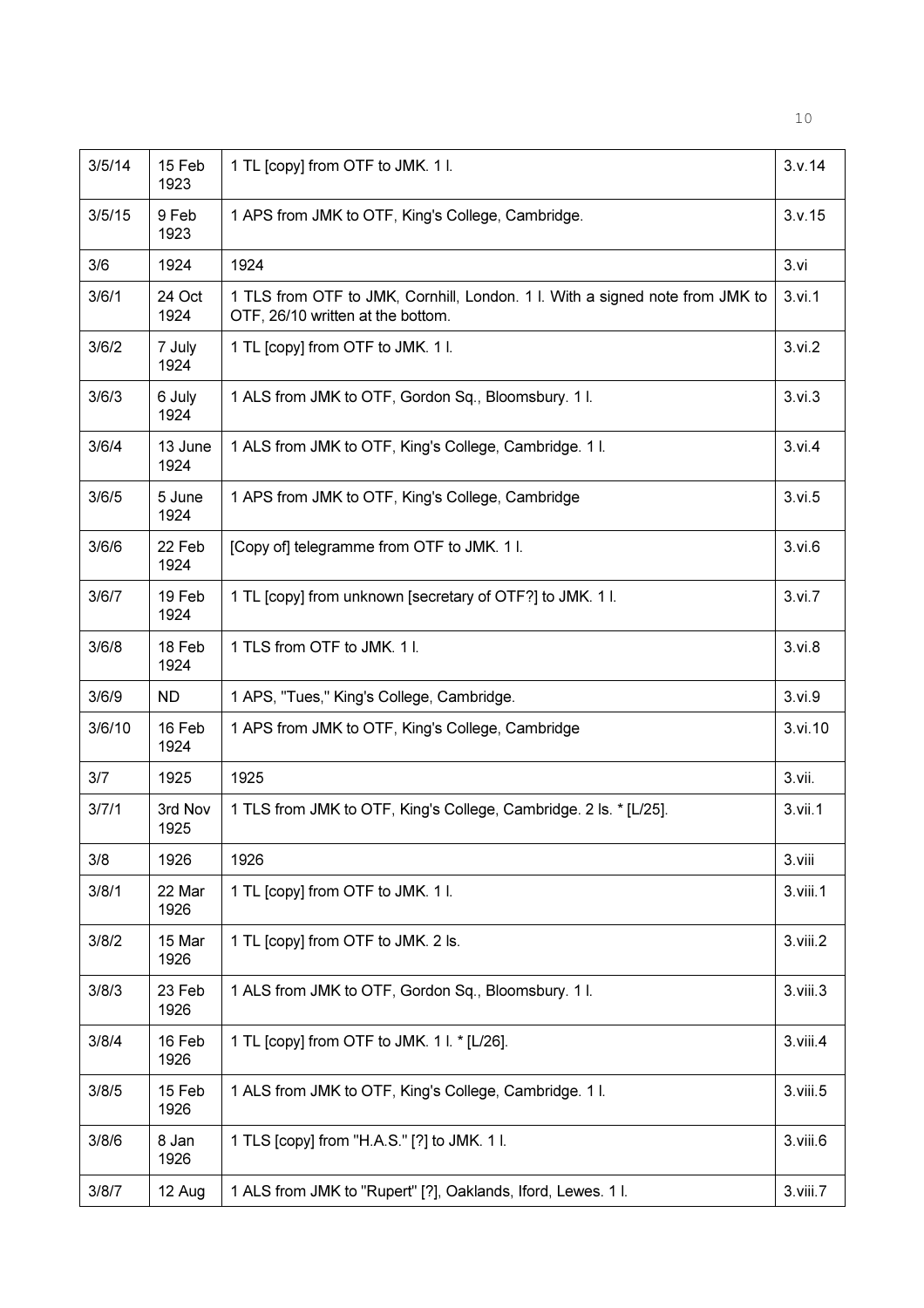| 3/5/14 | 15 Feb<br>1923  | 1 TL [copy] from OTF to JMK. 1 l.                                                                                 | 3.v.14         |
|--------|-----------------|-------------------------------------------------------------------------------------------------------------------|----------------|
| 3/5/15 | 9 Feb<br>1923   | 1 APS from JMK to OTF, King's College, Cambridge.                                                                 | 3.v.15         |
| 3/6    | 1924            | 1924                                                                                                              | 3. vi          |
| 3/6/1  | 24 Oct<br>1924  | 1 TLS from OTF to JMK, Cornhill, London. 1 l. With a signed note from JMK to<br>OTF, 26/10 written at the bottom. | 3.vi.1         |
| 3/6/2  | 7 July<br>1924  | 1 TL [copy] from OTF to JMK. 1 I.                                                                                 | 3.vi.2         |
| 3/6/3  | 6 July<br>1924  | 1 ALS from JMK to OTF, Gordon Sq., Bloomsbury. 1 l.                                                               | 3. vi.3        |
| 3/6/4  | 13 June<br>1924 | 1 ALS from JMK to OTF, King's College, Cambridge. 11.                                                             | 3. vi.4        |
| 3/6/5  | 5 June<br>1924  | 1 APS from JMK to OTF, King's College, Cambridge                                                                  | 3.vi.5         |
| 3/6/6  | 22 Feb<br>1924  | [Copy of] telegramme from OTF to JMK. 1 I.                                                                        | 3. vi.6        |
| 3/6/7  | 19 Feb<br>1924  | 1 TL [copy] from unknown [secretary of OTF?] to JMK. 1 I.                                                         | 3. vi. 7       |
| 3/6/8  | 18 Feb<br>1924  | 1 TLS from OTF to JMK. 11.                                                                                        | 3. vi.8        |
| 3/6/9  | <b>ND</b>       | 1 APS, "Tues," King's College, Cambridge.                                                                         | 3.vi.9         |
| 3/6/10 | 16 Feb<br>1924  | 1 APS from JMK to OTF, King's College, Cambridge                                                                  | 3.vi.10        |
| 3/7    | 1925            | 1925                                                                                                              | 3.vii.         |
| 3/7/1  | 3rd Nov<br>1925 | 1 TLS from JMK to OTF, King's College, Cambridge. 2 ls. * [L/25].                                                 | 3.vii.1        |
| 3/8    | 1926            | 1926                                                                                                              | 3.viii         |
| 3/8/1  | 22 Mar<br>1926  | 1 TL [copy] from OTF to JMK. 1 l.                                                                                 | 3.viii.1       |
| 3/8/2  | 15 Mar<br>1926  | 1 TL [copy] from OTF to JMK. 2 ls.                                                                                | 3.viii.2       |
| 3/8/3  | 23 Feb<br>1926  | 1 ALS from JMK to OTF, Gordon Sq., Bloomsbury. 11.                                                                | 3.viii.3       |
| 3/8/4  | 16 Feb<br>1926  | 1 TL [copy] from OTF to JMK. 1 l. * [L/26].                                                                       | $3.$ viii. $4$ |
| 3/8/5  | 15 Feb<br>1926  | 1 ALS from JMK to OTF, King's College, Cambridge. 11.                                                             | 3.viii.5       |
| 3/8/6  | 8 Jan<br>1926   | 1 TLS [copy] from "H.A.S." [?] to JMK. 1 I.                                                                       | 3.viii.6       |
| 3/8/7  | 12 Aug          | 1 ALS from JMK to "Rupert" [?], Oaklands, Iford, Lewes. 1 I.                                                      | 3.viii.7       |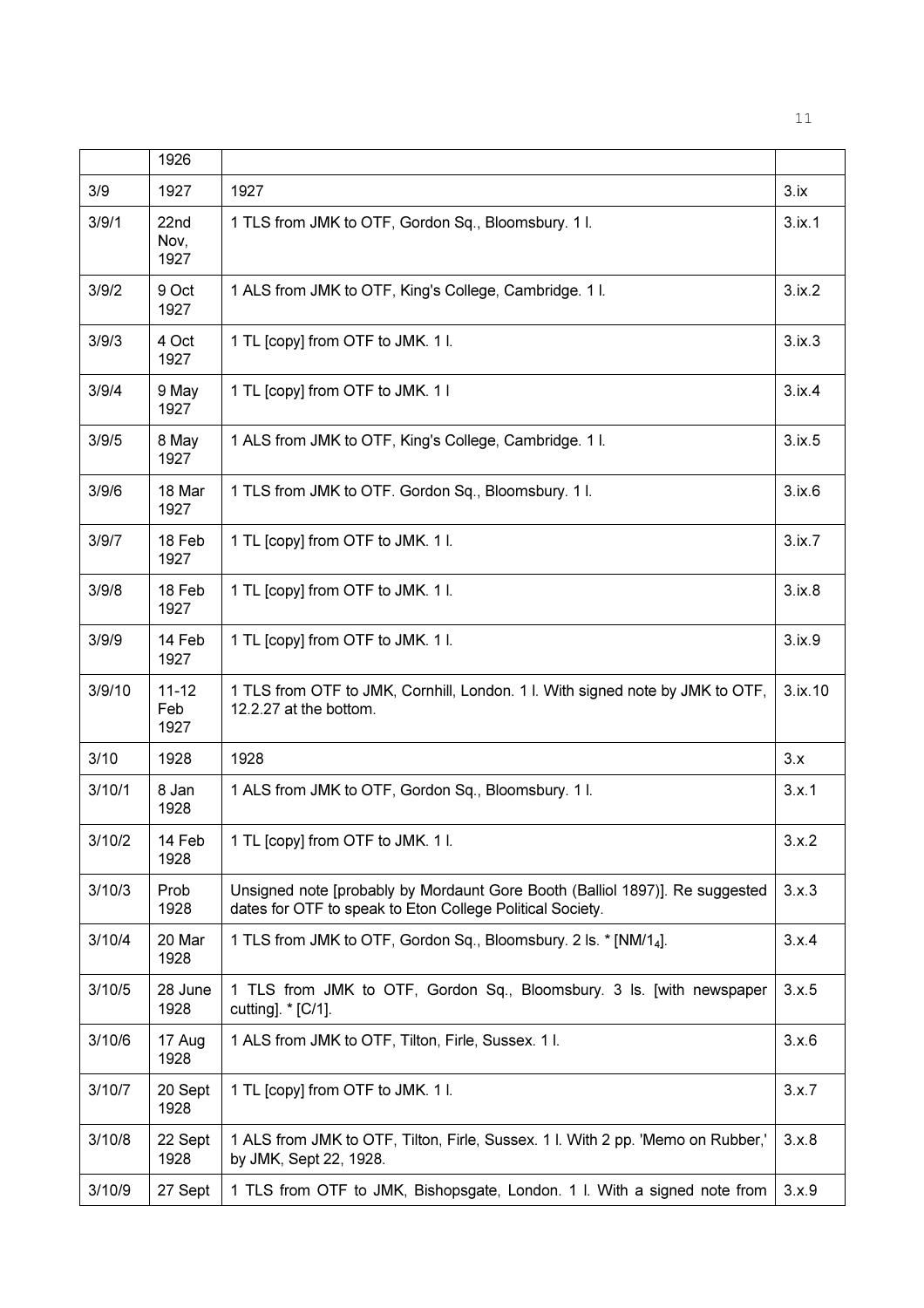|        | 1926                     |                                                                                                                                           |         |
|--------|--------------------------|-------------------------------------------------------------------------------------------------------------------------------------------|---------|
| 3/9    | 1927                     | 1927                                                                                                                                      | 3.1x    |
| 3/9/1  | 22nd<br>Nov,<br>1927     | 1 TLS from JMK to OTF, Gordon Sq., Bloomsbury. 11.                                                                                        | 3.ix.1  |
| 3/9/2  | 9 Oct<br>1927            | 1 ALS from JMK to OTF, King's College, Cambridge. 11.                                                                                     | 3.1x.2  |
| 3/9/3  | 4 Oct<br>1927            | 1 TL [copy] from OTF to JMK. 1 I.                                                                                                         | 3.1x.3  |
| 3/9/4  | 9 May<br>1927            | 1 TL [copy] from OTF to JMK. 1 I                                                                                                          | 3.ix.4  |
| 3/9/5  | 8 May<br>1927            | 1 ALS from JMK to OTF, King's College, Cambridge. 11.                                                                                     | 3.ix.5  |
| 3/9/6  | 18 Mar<br>1927           | 1 TLS from JMK to OTF. Gordon Sq., Bloomsbury. 11.                                                                                        | 3.ix.6  |
| 3/9/7  | 18 Feb<br>1927           | 1 TL [copy] from OTF to JMK. 1 I.                                                                                                         | 3.1x.7  |
| 3/9/8  | 18 Feb<br>1927           | 1 TL [copy] from OTF to JMK. 1 l.                                                                                                         | 3.ix.8  |
| 3/9/9  | 14 Feb<br>1927           | 1 TL [copy] from OTF to JMK. 1 I.                                                                                                         | 3.ix.9  |
| 3/9/10 | $11 - 12$<br>Feb<br>1927 | 1 TLS from OTF to JMK, Cornhill, London. 1 l. With signed note by JMK to OTF,<br>12.2.27 at the bottom.                                   | 3.ix.10 |
| 3/10   | 1928                     | 1928                                                                                                                                      | 3.x     |
| 3/10/1 | 8 Jan<br>1928            | 1 ALS from JMK to OTF, Gordon Sq., Bloomsbury. 11.                                                                                        | 3.x.1   |
| 3/10/2 | 14 Feb<br>1928           | 1 TL [copy] from OTF to JMK. 1 I.                                                                                                         | 3.x.2   |
| 3/10/3 | Prob<br>1928             | Unsigned note [probably by Mordaunt Gore Booth (Balliol 1897)]. Re suggested<br>dates for OTF to speak to Eton College Political Society. | 3.x.3   |
| 3/10/4 | 20 Mar<br>1928           | 1 TLS from JMK to OTF, Gordon Sq., Bloomsbury. 2 ls. * [NM/1 <sub>4</sub> ].                                                              | 3.x.4   |
| 3/10/5 | 28 June<br>1928          | 1 TLS from JMK to OTF, Gordon Sq., Bloomsbury. 3 ls. [with newspaper<br>cutting]. * [C/1].                                                | 3.x.5   |
| 3/10/6 | 17 Aug<br>1928           | 1 ALS from JMK to OTF, Tilton, Firle, Sussex. 11.                                                                                         | 3.x.6   |
| 3/10/7 | 20 Sept<br>1928          | 1 TL [copy] from OTF to JMK. 1 l.                                                                                                         | 3.x.7   |
| 3/10/8 | 22 Sept<br>1928          | 1 ALS from JMK to OTF, Tilton, Firle, Sussex. 1 I. With 2 pp. 'Memo on Rubber,'<br>by JMK, Sept 22, 1928.                                 | 3.x.8   |
| 3/10/9 | 27 Sept                  | 1 TLS from OTF to JMK, Bishopsgate, London. 1 I. With a signed note from                                                                  | 3.x.9   |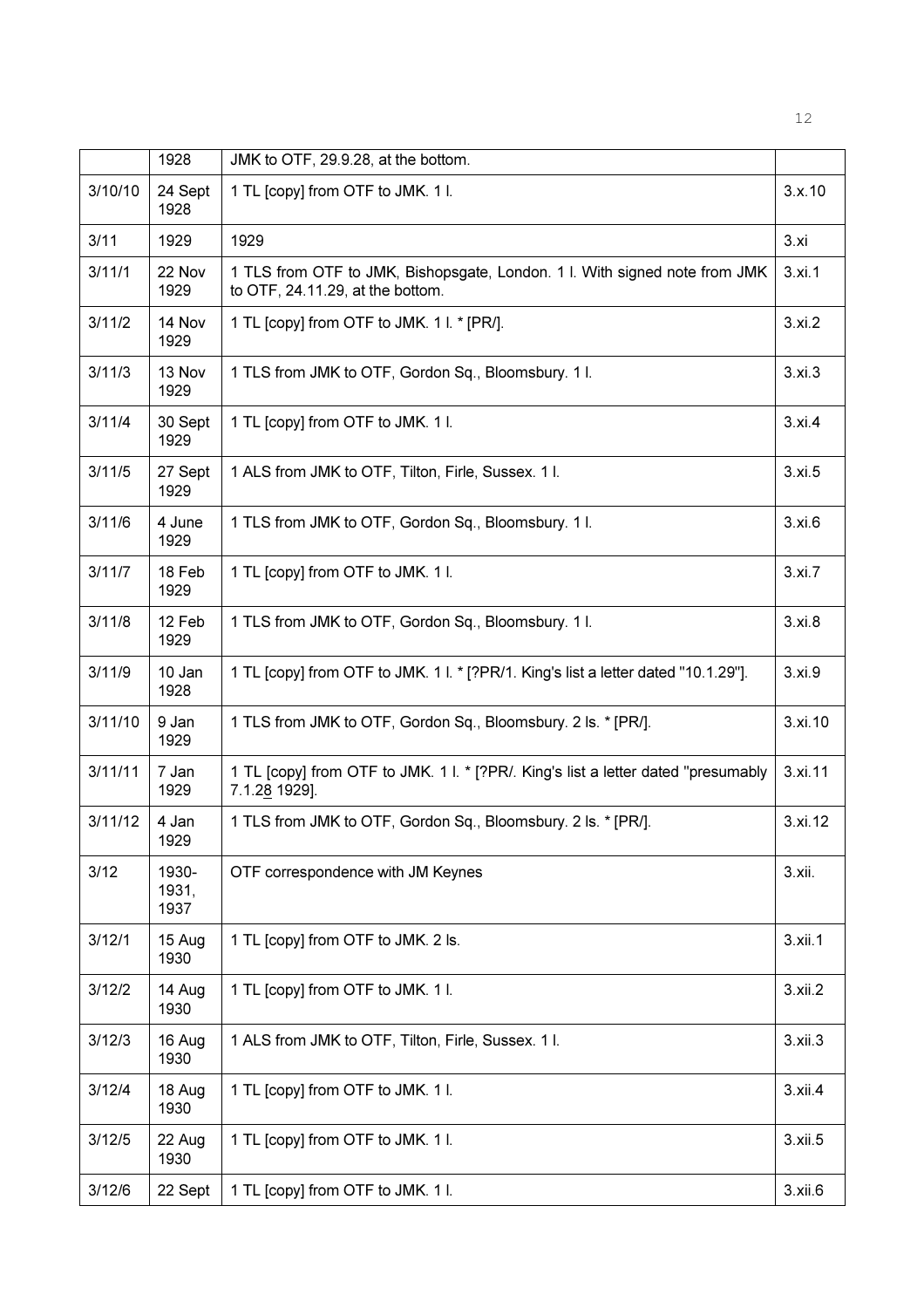|         | 1928                   | JMK to OTF, 29.9.28, at the bottom.                                                                            |         |
|---------|------------------------|----------------------------------------------------------------------------------------------------------------|---------|
| 3/10/10 | 24 Sept<br>1928        | 1 TL [copy] from OTF to JMK. 1 I.                                                                              | 3.x.10  |
| 3/11    | 1929                   | 1929                                                                                                           | 3.xi    |
| 3/11/1  | 22 Nov<br>1929         | 1 TLS from OTF to JMK, Bishopsgate, London. 1 l. With signed note from JMK<br>to OTF, 24.11.29, at the bottom. | 3.xi.1  |
| 3/11/2  | 14 Nov<br>1929         | 1 TL [copy] from OTF to JMK. 1 l. * [PR/].                                                                     | 3.xi.2  |
| 3/11/3  | 13 Nov<br>1929         | 1 TLS from JMK to OTF, Gordon Sq., Bloomsbury. 11.                                                             | 3.xi.3  |
| 3/11/4  | 30 Sept<br>1929        | 1 TL [copy] from OTF to JMK. 1 l.                                                                              | 3.xi.4  |
| 3/11/5  | 27 Sept<br>1929        | 1 ALS from JMK to OTF, Tilton, Firle, Sussex. 11.                                                              | 3.xi.5  |
| 3/11/6  | 4 June<br>1929         | 1 TLS from JMK to OTF, Gordon Sq., Bloomsbury. 11.                                                             | 3.xi.6  |
| 3/11/7  | 18 Feb<br>1929         | 1 TL [copy] from OTF to JMK. 1 l.                                                                              | 3.xi.7  |
| 3/11/8  | 12 Feb<br>1929         | 1 TLS from JMK to OTF, Gordon Sq., Bloomsbury. 11.                                                             | 3.xi.8  |
| 3/11/9  | 10 Jan<br>1928         | 1 TL [copy] from OTF to JMK. 1 I. * [?PR/1. King's list a letter dated "10.1.29"].                             | 3.xi.9  |
| 3/11/10 | 9 Jan<br>1929          | 1 TLS from JMK to OTF, Gordon Sq., Bloomsbury. 2 ls. * [PR/].                                                  | 3.xi.10 |
| 3/11/11 | 7 Jan<br>1929          | 1 TL [copy] from OTF to JMK. 1 I. * [?PR/. King's list a letter dated "presumably<br>7.1.28 1929].             | 3.xi.11 |
| 3/11/12 | 4 Jan<br>1929          | 1 TLS from JMK to OTF, Gordon Sq., Bloomsbury. 2 ls. * [PR/].                                                  | 3.xi.12 |
| 3/12    | 1930-<br>1931,<br>1937 | OTF correspondence with JM Keynes                                                                              | 3.xii.  |
| 3/12/1  | 15 Aug<br>1930         | 1 TL [copy] from OTF to JMK. 2 ls.                                                                             | 3.xii.1 |
| 3/12/2  | 14 Aug<br>1930         | 1 TL [copy] from OTF to JMK. 1 I.                                                                              | 3.xii.2 |
| 3/12/3  | 16 Aug<br>1930         | 1 ALS from JMK to OTF, Tilton, Firle, Sussex. 1 I.                                                             | 3.xii.3 |
| 3/12/4  | 18 Aug<br>1930         | 1 TL [copy] from OTF to JMK. 1 I.                                                                              | 3.xii.4 |
| 3/12/5  | 22 Aug<br>1930         | 1 TL [copy] from OTF to JMK. 1 I.                                                                              | 3.xii.5 |
| 3/12/6  | 22 Sept                | 1 TL [copy] from OTF to JMK. 1 I.                                                                              | 3.xii.6 |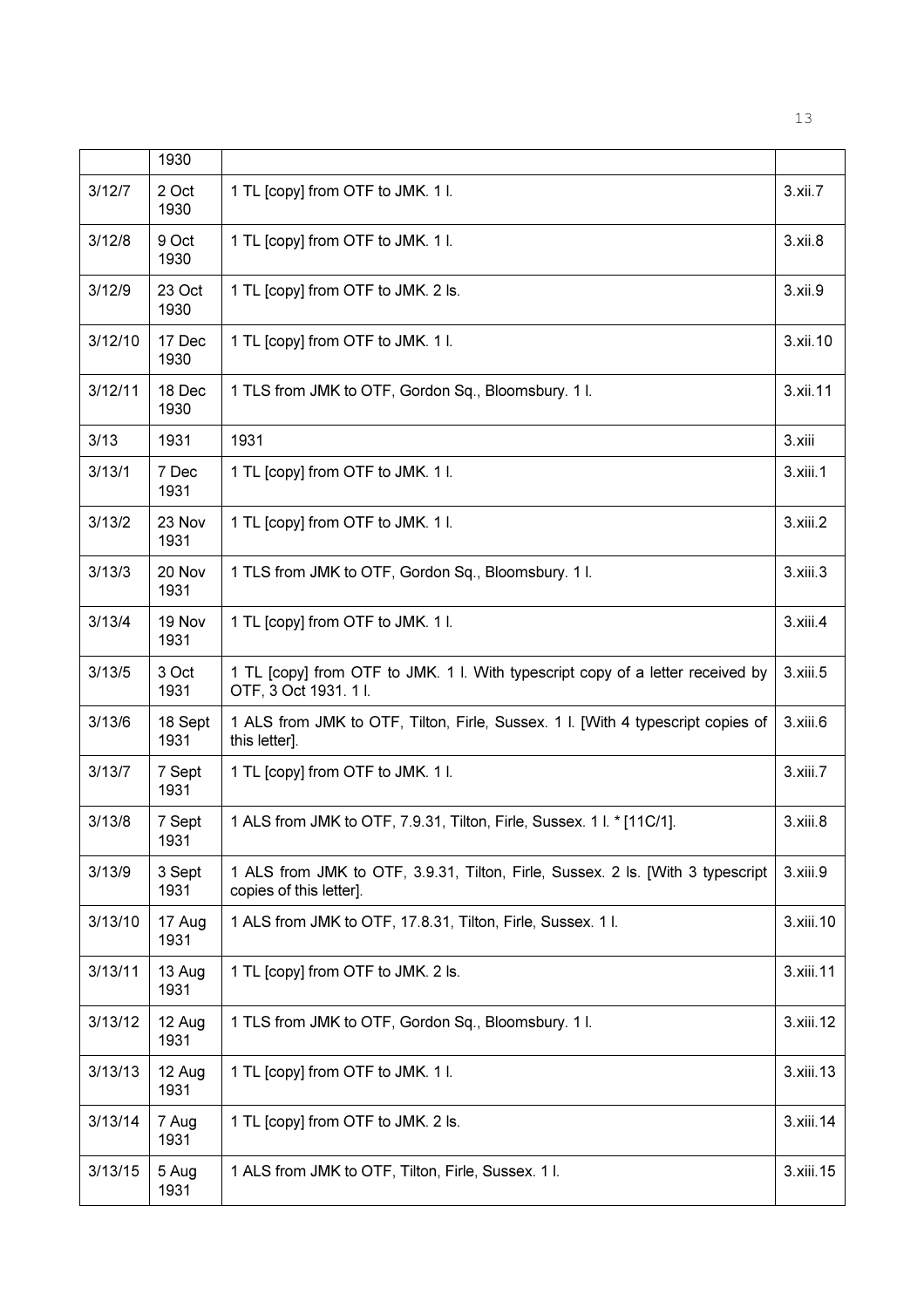|         | 1930            |                                                                                                           |           |
|---------|-----------------|-----------------------------------------------------------------------------------------------------------|-----------|
| 3/12/7  | 2 Oct<br>1930   | 1 TL [copy] from OTF to JMK. 1 I.                                                                         | 3.xii.7   |
| 3/12/8  | 9 Oct<br>1930   | 1 TL [copy] from OTF to JMK. 1 I.                                                                         | 3.xii.8   |
| 3/12/9  | 23 Oct<br>1930  | 1 TL [copy] from OTF to JMK. 2 ls.                                                                        | 3.xii.9   |
| 3/12/10 | 17 Dec<br>1930  | 1 TL [copy] from OTF to JMK. 1 I.                                                                         | 3.xii.10  |
| 3/12/11 | 18 Dec<br>1930  | 1 TLS from JMK to OTF, Gordon Sq., Bloomsbury. 11.                                                        | 3.xii.11  |
| 3/13    | 1931            | 1931                                                                                                      | 3.xiii    |
| 3/13/1  | 7 Dec<br>1931   | 1 TL [copy] from OTF to JMK. 1 I.                                                                         | 3.xiii.1  |
| 3/13/2  | 23 Nov<br>1931  | 1 TL [copy] from OTF to JMK. 1 I.                                                                         | 3.xiii.2  |
| 3/13/3  | 20 Nov<br>1931  | 1 TLS from JMK to OTF, Gordon Sq., Bloomsbury. 11.                                                        | 3.xiii.3  |
| 3/13/4  | 19 Nov<br>1931  | 1 TL [copy] from OTF to JMK. 1 I.                                                                         | 3.xiii.4  |
| 3/13/5  | 3 Oct<br>1931   | 1 TL [copy] from OTF to JMK. 1 I. With typescript copy of a letter received by<br>OTF, 3 Oct 1931. 11.    | 3.xiii.5  |
| 3/13/6  | 18 Sept<br>1931 | 1 ALS from JMK to OTF, Tilton, Firle, Sussex. 1 I. [With 4 typescript copies of<br>this letter].          | 3.xiii.6  |
| 3/13/7  | 7 Sept<br>1931  | 1 TL [copy] from OTF to JMK. 1 I.                                                                         | 3.xiii.7  |
| 3/13/8  | 7 Sept<br>1931  | 1 ALS from JMK to OTF, 7.9.31, Tilton, Firle, Sussex. 1 I. * [11C/1].                                     | 3.xiii.8  |
| 3/13/9  | 3 Sept<br>1931  | 1 ALS from JMK to OTF, 3.9.31, Tilton, Firle, Sussex. 2 Is. [With 3 typescript<br>copies of this letter]. | 3.xiii.9  |
| 3/13/10 | 17 Aug<br>1931  | 1 ALS from JMK to OTF, 17.8.31, Tilton, Firle, Sussex. 1 I.                                               | 3.xiii.10 |
| 3/13/11 | 13 Aug<br>1931  | 1 TL [copy] from OTF to JMK. 2 ls.                                                                        | 3.xiii.11 |
| 3/13/12 | 12 Aug<br>1931  | 1 TLS from JMK to OTF, Gordon Sq., Bloomsbury. 11.                                                        | 3.xiii.12 |
| 3/13/13 | 12 Aug<br>1931  | 1 TL [copy] from OTF to JMK. 1 I.                                                                         | 3.xiii.13 |
| 3/13/14 | 7 Aug<br>1931   | 1 TL [copy] from OTF to JMK. 2 ls.                                                                        | 3.xiii.14 |
| 3/13/15 | 5 Aug<br>1931   | 1 ALS from JMK to OTF, Tilton, Firle, Sussex. 11.                                                         | 3.xiii.15 |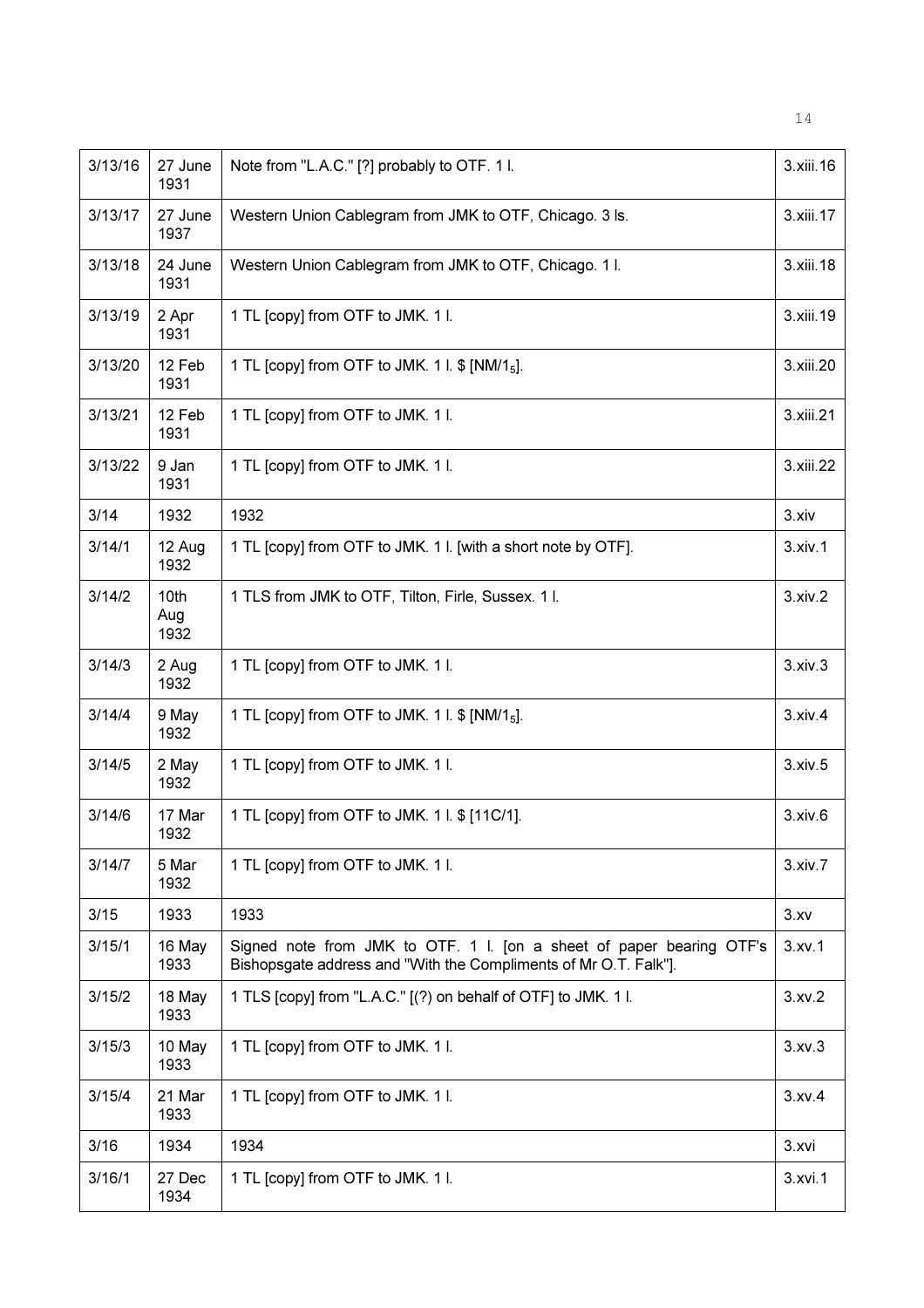| 3/13/16 | 27 June<br>1931     | Note from "L.A.C." [?] probably to OTF. 1 l.                                                                                             | 3.xiii.16     |
|---------|---------------------|------------------------------------------------------------------------------------------------------------------------------------------|---------------|
| 3/13/17 | 27 June<br>1937     | Western Union Cablegram from JMK to OTF, Chicago. 3 ls.                                                                                  | 3.xiii.17     |
| 3/13/18 | 24 June<br>1931     | Western Union Cablegram from JMK to OTF, Chicago. 1 I.                                                                                   | 3.xiii.18     |
| 3/13/19 | 2 Apr<br>1931       | 1 TL [copy] from OTF to JMK. 1 I.                                                                                                        | 3.xiii.19     |
| 3/13/20 | 12 Feb<br>1931      | 1 TL [copy] from OTF to JMK. 1 l. \$ [NM/1 <sub>5</sub> ].                                                                               | 3.xiii.20     |
| 3/13/21 | 12 Feb<br>1931      | 1 TL [copy] from OTF to JMK. 1 l.                                                                                                        | 3.xiii.21     |
| 3/13/22 | 9 Jan<br>1931       | 1 TL [copy] from OTF to JMK. 1 I.                                                                                                        | 3.xiii.22     |
| 3/14    | 1932                | 1932                                                                                                                                     | 3.xiv         |
| 3/14/1  | 12 Aug<br>1932      | 1 TL [copy] from OTF to JMK. 1 l. [with a short note by OTF].                                                                            | 3. xiv.1      |
| 3/14/2  | 10th<br>Aug<br>1932 | 1 TLS from JMK to OTF, Tilton, Firle, Sussex. 11.                                                                                        | 3. xiv.2      |
| 3/14/3  | 2 Aug<br>1932       | 1 TL [copy] from OTF to JMK. 1 I.                                                                                                        | 3.xiv.3       |
| 3/14/4  | 9 May<br>1932       | 1 TL [copy] from OTF to JMK. 1 l. \$ [NM/1 <sub>5</sub> ].                                                                               | 3.xiv.4       |
| 3/14/5  | 2 May<br>1932       | 1 TL [copy] from OTF to JMK. 1 I.                                                                                                        | 3. xiv.5      |
| 3/14/6  | 17 Mar<br>1932      | 1 TL [copy] from OTF to JMK. 1 l. \$ [11C/1].                                                                                            | 3.xiv.6       |
| 3/14/7  | 5 Mar<br>1932       | 1 TL [copy] from OTF to JMK. 1 l.                                                                                                        | 3.xiv.7       |
| 3/15    | 1933                | 1933                                                                                                                                     | 3.xv          |
| 3/15/1  | 16 May<br>1933      | Signed note from JMK to OTF. 1 I. [on a sheet of paper bearing OTF's<br>Bishopsgate address and "With the Compliments of Mr O.T. Falk"]. | 3.xv.1        |
| 3/15/2  | 18 May<br>1933      | 1 TLS [copy] from "L.A.C." [(?) on behalf of OTF] to JMK. 1 l.                                                                           | 3.xv.2        |
| 3/15/3  | 10 May<br>1933      | 1 TL [copy] from OTF to JMK. 1 l.                                                                                                        | 3.xv.3        |
| 3/15/4  | 21 Mar<br>1933      | 1 TL [copy] from OTF to JMK. 1 l.                                                                                                        | 3.xv.4        |
| 3/16    | 1934                | 1934                                                                                                                                     | 3.xvi         |
| 3/16/1  | 27 Dec<br>1934      | 1 TL [copy] from OTF to JMK. 1 l.                                                                                                        | $3.$ xvi $.1$ |

14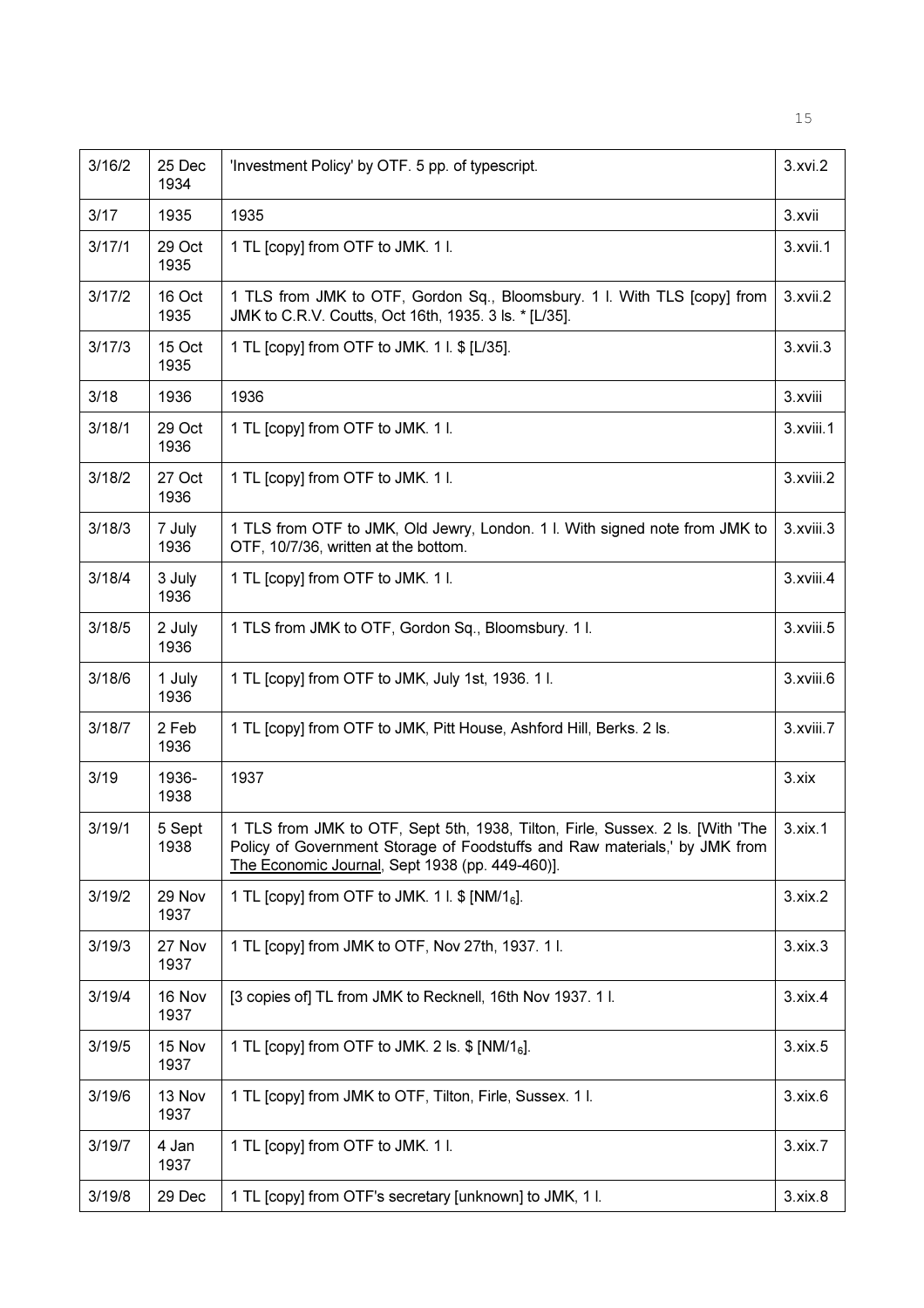| 3/16/2 | 25 Dec<br>1934 | 'Investment Policy' by OTF. 5 pp. of typescript.                                                                                                                                                                | 3.xvi.2        |
|--------|----------------|-----------------------------------------------------------------------------------------------------------------------------------------------------------------------------------------------------------------|----------------|
| 3/17   | 1935           | 1935                                                                                                                                                                                                            | 3.xvii         |
| 3/17/1 | 29 Oct<br>1935 | 1 TL [copy] from OTF to JMK. 1 I.                                                                                                                                                                               | 3.xvii.1       |
| 3/17/2 | 16 Oct<br>1935 | 1 TLS from JMK to OTF, Gordon Sq., Bloomsbury. 1 l. With TLS [copy] from<br>JMK to C.R.V. Coutts, Oct 16th, 1935. 3 ls. * [L/35].                                                                               | 3.xvii.2       |
| 3/17/3 | 15 Oct<br>1935 | 1 TL [copy] from OTF to JMK. 1 l. \$ [L/35].                                                                                                                                                                    | 3.xvii.3       |
| 3/18   | 1936           | 1936                                                                                                                                                                                                            | 3.xviii        |
| 3/18/1 | 29 Oct<br>1936 | 1 TL [copy] from OTF to JMK. 1 I.                                                                                                                                                                               | 3.xviii.1      |
| 3/18/2 | 27 Oct<br>1936 | 1 TL [copy] from OTF to JMK. 1 l.                                                                                                                                                                               | 3.xviii.2      |
| 3/18/3 | 7 July<br>1936 | 1 TLS from OTF to JMK, Old Jewry, London. 1 l. With signed note from JMK to<br>OTF, 10/7/36, written at the bottom.                                                                                             | 3.xviii.3      |
| 3/18/4 | 3 July<br>1936 | 1 TL [copy] from OTF to JMK. 1 l.                                                                                                                                                                               | 3.xviii.4      |
| 3/18/5 | 2 July<br>1936 | 1 TLS from JMK to OTF, Gordon Sq., Bloomsbury. 11.                                                                                                                                                              | 3.xviii.5      |
| 3/18/6 | 1 July<br>1936 | 1 TL [copy] from OTF to JMK, July 1st, 1936. 1 l.                                                                                                                                                               | 3.xviii.6      |
| 3/18/7 | 2 Feb<br>1936  | 1 TL [copy] from OTF to JMK, Pitt House, Ashford Hill, Berks. 2 ls.                                                                                                                                             | 3.xviii.7      |
| 3/19   | 1936-<br>1938  | 1937                                                                                                                                                                                                            | 3.xix          |
| 3/19/1 | 5 Sept<br>1938 | 1 TLS from JMK to OTF, Sept 5th, 1938, Tilton, Firle, Sussex. 2 Is. [With 'The<br>Policy of Government Storage of Foodstuffs and Raw materials,' by JMK from<br>The Economic Journal, Sept 1938 (pp. 449-460)]. | $3. x$ ix.1    |
| 3/19/2 | 29 Nov<br>1937 | 1 TL [copy] from OTF to JMK. 1 l. \$ [NM/1 <sub>6</sub> ].                                                                                                                                                      | 3.xix.2        |
| 3/19/3 | 27 Nov<br>1937 | 1 TL [copy] from JMK to OTF, Nov 27th, 1937. 11.                                                                                                                                                                | $3. x i x.3$   |
| 3/19/4 | 16 Nov<br>1937 | [3 copies of] TL from JMK to Recknell, 16th Nov 1937. 1 l.                                                                                                                                                      | $3. x$ ix. $4$ |
| 3/19/5 | 15 Nov<br>1937 | 1 TL [copy] from OTF to JMK. 2 ls. $$ [NM/16]$ .                                                                                                                                                                | $3. x$ ix. $5$ |
| 3/19/6 | 13 Nov<br>1937 | 1 TL [copy] from JMK to OTF, Tilton, Firle, Sussex. 1 I.                                                                                                                                                        | 3.xix.6        |
| 3/19/7 | 4 Jan<br>1937  | 1 TL [copy] from OTF to JMK. 1 I.                                                                                                                                                                               | 3.xix.7        |
| 3/19/8 | 29 Dec         | 1 TL [copy] from OTF's secretary [unknown] to JMK, 1 l.                                                                                                                                                         | 3.xix.8        |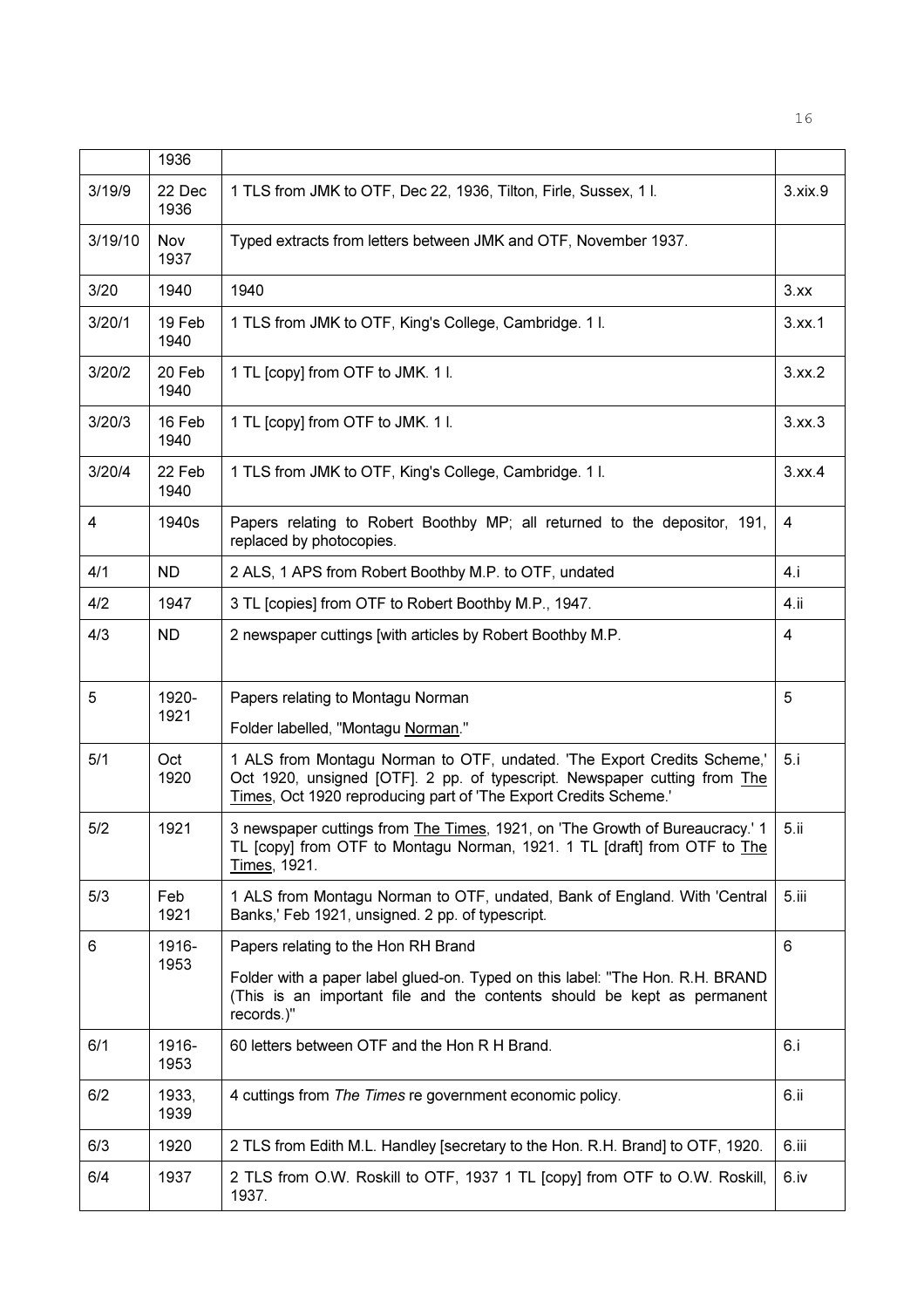|         | 1936           |                                                                                                                                                                                                                          |         |
|---------|----------------|--------------------------------------------------------------------------------------------------------------------------------------------------------------------------------------------------------------------------|---------|
| 3/19/9  | 22 Dec<br>1936 | 1 TLS from JMK to OTF, Dec 22, 1936, Tilton, Firle, Sussex, 1 l.                                                                                                                                                         | 3.xix.9 |
| 3/19/10 | Nov<br>1937    | Typed extracts from letters between JMK and OTF, November 1937.                                                                                                                                                          |         |
| 3/20    | 1940           | 1940                                                                                                                                                                                                                     | 3.xx    |
| 3/20/1  | 19 Feb<br>1940 | 1 TLS from JMK to OTF, King's College, Cambridge. 11.                                                                                                                                                                    | 3.xx.1  |
| 3/20/2  | 20 Feb<br>1940 | 1 TL [copy] from OTF to JMK. 1 I.                                                                                                                                                                                        | 3.xx.2  |
| 3/20/3  | 16 Feb<br>1940 | 1 TL [copy] from OTF to JMK. 1 I.                                                                                                                                                                                        | 3.xx.3  |
| 3/20/4  | 22 Feb<br>1940 | 1 TLS from JMK to OTF, King's College, Cambridge. 11.                                                                                                                                                                    | 3.xx.4  |
| 4       | 1940s          | Papers relating to Robert Boothby MP; all returned to the depositor, 191,<br>replaced by photocopies.                                                                                                                    | 4       |
| 4/1     | ND.            | 2 ALS, 1 APS from Robert Boothby M.P. to OTF, undated                                                                                                                                                                    | 4.i     |
| 4/2     | 1947           | 3 TL [copies] from OTF to Robert Boothby M.P., 1947.                                                                                                                                                                     | 4.ii    |
| 4/3     | <b>ND</b>      | 2 newspaper cuttings [with articles by Robert Boothby M.P.                                                                                                                                                               | 4       |
| 5       | 1920-<br>1921  | Papers relating to Montagu Norman<br>Folder labelled, "Montagu Norman."                                                                                                                                                  | 5       |
| 5/1     | Oct<br>1920    | 1 ALS from Montagu Norman to OTF, undated. 'The Export Credits Scheme,'<br>Oct 1920, unsigned [OTF]. 2 pp. of typescript. Newspaper cutting from The<br>Times, Oct 1920 reproducing part of 'The Export Credits Scheme.' | 5.i     |
| 5/2     | 1921           | 3 newspaper cuttings from The Times, 1921, on 'The Growth of Bureaucracy.' 1<br>TL [copy] from OTF to Montagu Norman, 1921. 1 TL [draft] from OTF to The<br>Times, 1921.                                                 | 5.ii    |
| 5/3     | Feb<br>1921    | 1 ALS from Montagu Norman to OTF, undated, Bank of England. With 'Central<br>Banks,' Feb 1921, unsigned. 2 pp. of typescript.                                                                                            | 5.iii   |
| 6       | 1916-          | Papers relating to the Hon RH Brand                                                                                                                                                                                      | 6       |
|         | 1953           | Folder with a paper label glued-on. Typed on this label: "The Hon. R.H. BRAND<br>(This is an important file and the contents should be kept as permanent<br>records.)"                                                   |         |
| 6/1     | 1916-<br>1953  | 60 letters between OTF and the Hon R H Brand.                                                                                                                                                                            | 6.i     |
| 6/2     | 1933,<br>1939  | 4 cuttings from The Times re government economic policy.                                                                                                                                                                 | 6.ii    |
| 6/3     | 1920           | 2 TLS from Edith M.L. Handley [secretary to the Hon. R.H. Brand] to OTF, 1920.                                                                                                                                           | 6.iii   |
| 6/4     | 1937           | 2 TLS from O.W. Roskill to OTF, 1937 1 TL [copy] from OTF to O.W. Roskill,<br>1937.                                                                                                                                      | 6.iv    |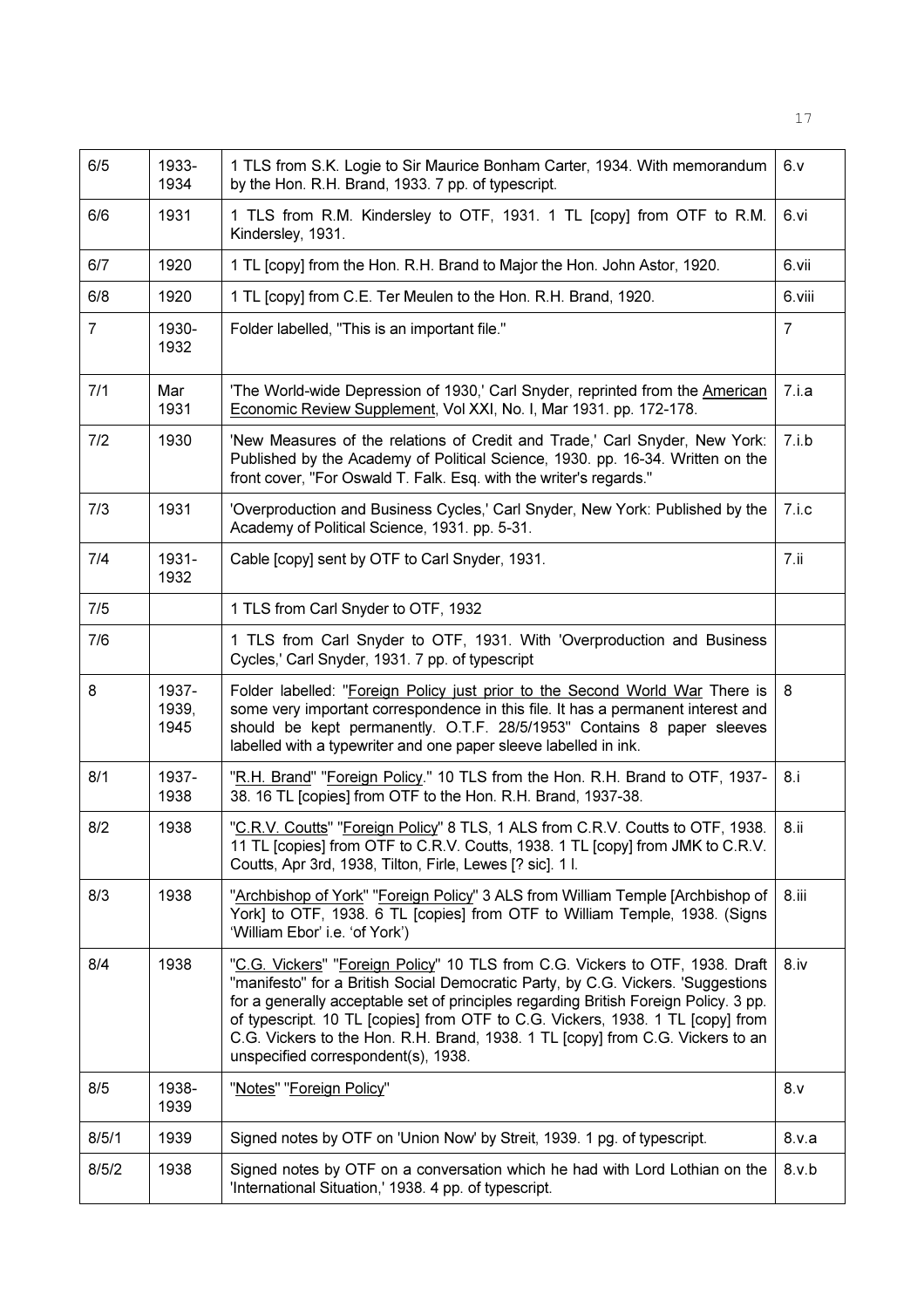| 6/5            | 1933-<br>1934          | 1 TLS from S.K. Logie to Sir Maurice Bonham Carter, 1934. With memorandum<br>by the Hon. R.H. Brand, 1933. 7 pp. of typescript.                                                                                                                                                                                                                                                                                                                                     | 6. v             |
|----------------|------------------------|---------------------------------------------------------------------------------------------------------------------------------------------------------------------------------------------------------------------------------------------------------------------------------------------------------------------------------------------------------------------------------------------------------------------------------------------------------------------|------------------|
| 6/6            | 1931                   | 1 TLS from R.M. Kindersley to OTF, 1931. 1 TL [copy] from OTF to R.M.<br>Kindersley, 1931.                                                                                                                                                                                                                                                                                                                                                                          | 6.vi             |
| 6/7            | 1920                   | 1 TL [copy] from the Hon. R.H. Brand to Major the Hon. John Astor, 1920.                                                                                                                                                                                                                                                                                                                                                                                            | 6.vii            |
| 6/8            | 1920                   | 1 TL [copy] from C.E. Ter Meulen to the Hon. R.H. Brand, 1920.                                                                                                                                                                                                                                                                                                                                                                                                      | 6.viii           |
| $\overline{7}$ | 1930-<br>1932          | Folder labelled, "This is an important file."                                                                                                                                                                                                                                                                                                                                                                                                                       | 7                |
| 7/1            | Mar<br>1931            | 'The World-wide Depression of 1930,' Carl Snyder, reprinted from the American<br>Economic Review Supplement, Vol XXI, No. I, Mar 1931. pp. 172-178.                                                                                                                                                                                                                                                                                                                 | 7.i.a            |
| 7/2            | 1930                   | 'New Measures of the relations of Credit and Trade,' Carl Snyder, New York:<br>Published by the Academy of Political Science, 1930. pp. 16-34. Written on the<br>front cover, "For Oswald T. Falk. Esq. with the writer's regards."                                                                                                                                                                                                                                 | 7.i.b            |
| 7/3            | 1931                   | 'Overproduction and Business Cycles,' Carl Snyder, New York: Published by the<br>Academy of Political Science, 1931. pp. 5-31.                                                                                                                                                                                                                                                                                                                                      | 7.i.c.           |
| 7/4            | 1931-<br>1932          | Cable [copy] sent by OTF to Carl Snyder, 1931.                                                                                                                                                                                                                                                                                                                                                                                                                      | 7.ii             |
| 7/5            |                        | 1 TLS from Carl Snyder to OTF, 1932                                                                                                                                                                                                                                                                                                                                                                                                                                 |                  |
| 7/6            |                        | 1 TLS from Carl Snyder to OTF, 1931. With 'Overproduction and Business<br>Cycles,' Carl Snyder, 1931. 7 pp. of typescript                                                                                                                                                                                                                                                                                                                                           |                  |
| 8              | 1937-<br>1939,<br>1945 | Folder labelled: "Foreign Policy just prior to the Second World War There is<br>some very important correspondence in this file. It has a permanent interest and<br>should be kept permanently. O.T.F. 28/5/1953" Contains 8 paper sleeves<br>labelled with a typewriter and one paper sleeve labelled in ink.                                                                                                                                                      | 8                |
| 8/1            | 1937-<br>1938          | "R.H. Brand" "Foreign Policy." 10 TLS from the Hon. R.H. Brand to OTF, 1937-<br>38. 16 TL [copies] from OTF to the Hon. R.H. Brand, 1937-38.                                                                                                                                                                                                                                                                                                                        | 8.1              |
| 8/2            | 1938                   | "C.R.V. Coutts" "Foreign Policy" 8 TLS, 1 ALS from C.R.V. Coutts to OTF, 1938.<br>11 TL [copies] from OTF to C.R.V. Coutts, 1938. 1 TL [copy] from JMK to C.R.V.<br>Coutts, Apr 3rd, 1938, Tilton, Firle, Lewes [? sic]. 1 l.                                                                                                                                                                                                                                       | 8.11             |
| 8/3            | 1938                   | "Archbishop of York" "Foreign Policy" 3 ALS from William Temple [Archbishop of<br>York] to OTF, 1938. 6 TL [copies] from OTF to William Temple, 1938. (Signs<br>'William Ebor' i.e. 'of York')                                                                                                                                                                                                                                                                      | 8.iii            |
| 8/4            | 1938                   | "C.G. Vickers" "Foreign Policy" 10 TLS from C.G. Vickers to OTF, 1938. Draft<br>"manifesto" for a British Social Democratic Party, by C.G. Vickers. 'Suggestions<br>for a generally acceptable set of principles regarding British Foreign Policy. 3 pp.<br>of typescript. 10 TL [copies] from OTF to C.G. Vickers, 1938. 1 TL [copy] from<br>C.G. Vickers to the Hon. R.H. Brand, 1938. 1 TL [copy] from C.G. Vickers to an<br>unspecified correspondent(s), 1938. | 8.1 <sub>V</sub> |
| 8/5            | 1938-<br>1939          | "Notes" "Foreign Policy"                                                                                                                                                                                                                                                                                                                                                                                                                                            | 8. v             |
| 8/5/1          | 1939                   | Signed notes by OTF on 'Union Now' by Streit, 1939. 1 pg. of typescript.                                                                                                                                                                                                                                                                                                                                                                                            | 8.v.a            |
| 8/5/2          | 1938                   | Signed notes by OTF on a conversation which he had with Lord Lothian on the<br>'International Situation,' 1938. 4 pp. of typescript.                                                                                                                                                                                                                                                                                                                                | 8.v.b            |